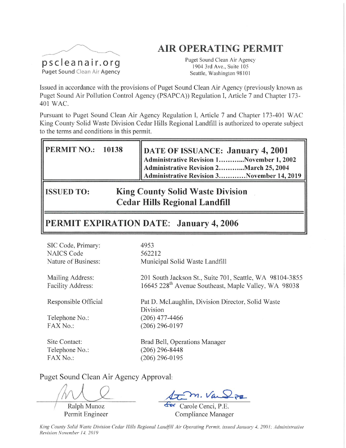# **AIR OPERATING PERMIT**



Puget Sound Clean Air Agency 1904 3rd Ave., Suite 105 Seattle, Washington 98101

Issued in accordance with the provisions of Puget Sound Clean Air Agency (previously known as Puget Sound Air Pollution Control Agency (PSAPCA)) Regulation I, Article 7 and Chapter 173-401 WAC.

Pursuant to Puget Sound Clean Air Agency Regulation I, Article 7 and Chapter 173-401 WAC King County Solid Waste Division Cedar Hills Regional Landfill is authorized to operate subject to the terms and conditions in this permit.

| <b>PERMIT NO.: 10138</b>                                     |  | DATE OF ISSUANCE: January 4, 2001<br>Administrative Revision 1November 1, 2002<br>Administrative Revision 2March 25, 2004<br>Administrative Revision 3November 14, 2019 |  |  |  |  |  |
|--------------------------------------------------------------|--|-------------------------------------------------------------------------------------------------------------------------------------------------------------------------|--|--|--|--|--|
| <b>King County Solid Waste Division</b><br><b>ISSUED TO:</b> |  |                                                                                                                                                                         |  |  |  |  |  |

**Cedar Hills Regional Landfill** 

**TEXPIRATION DATE: January 4, 2006** PERMI

| SIC Code, Primary:<br><b>NAICS Code</b><br>Nature of Business: | 4953<br>562212<br>Municipal Solid Waste Landfill                                                                             |
|----------------------------------------------------------------|------------------------------------------------------------------------------------------------------------------------------|
| Mailing Address:<br><b>Facility Address:</b>                   | 201 South Jackson St., Suite 701, Seattle, WA 98104-3855<br>16645 228 <sup>th</sup> Avenue Southeast, Maple Valley, WA 98038 |
| Responsible Official                                           | Pat D. McLaughlin, Division Director, Solid Waste<br>Division                                                                |
| Telephone No.:                                                 | $(206)$ 477-4466                                                                                                             |
| FAX No.:                                                       | $(206)$ 296-0197                                                                                                             |
| Site Contact:                                                  | Brad Bell, Operations Manager                                                                                                |
| Telephone No.:                                                 | (206) 296-8448                                                                                                               |
| FAX No.:                                                       | $(206)$ 296-0195                                                                                                             |

Puget Sound Clean Air Agency Approval:

Ralph Munoz Permit Engineer

for Carole Cenci, P.E. Compliance Manager

King County Solid Waste Division Cedar Hills Regional Landfill Air Operating Permit, issued January 4, 2001; Administrative Revision November 14, 2019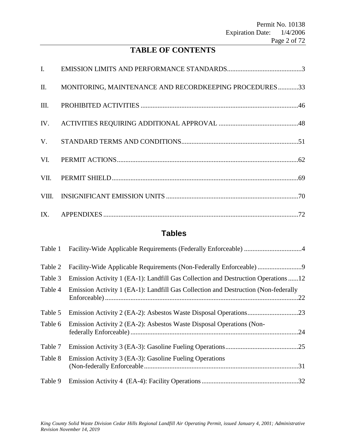# **TABLE OF CONTENTS**

| II.  | MONITORING, MAINTENANCE AND RECORDKEEPING PROCEDURES33 |  |
|------|--------------------------------------------------------|--|
| III. |                                                        |  |
|      |                                                        |  |
|      |                                                        |  |
|      |                                                        |  |
|      |                                                        |  |
|      |                                                        |  |
|      |                                                        |  |

# **Tables**

| Table 1 |                                                                                    |     |
|---------|------------------------------------------------------------------------------------|-----|
| Table 2 | Facility-Wide Applicable Requirements (Non-Federally Enforceable)                  |     |
| Table 3 | Emission Activity 1 (EA-1): Landfill Gas Collection and Destruction Operations 12  |     |
| Table 4 | Emission Activity 1 (EA-1): Landfill Gas Collection and Destruction (Non-federally | .22 |
| Table 5 |                                                                                    |     |
| Table 6 | Emission Activity 2 (EA-2): Asbestos Waste Disposal Operations (Non-               | .24 |
| Table 7 |                                                                                    |     |
| Table 8 | Emission Activity 3 (EA-3): Gasoline Fueling Operations                            |     |
| Table 9 |                                                                                    |     |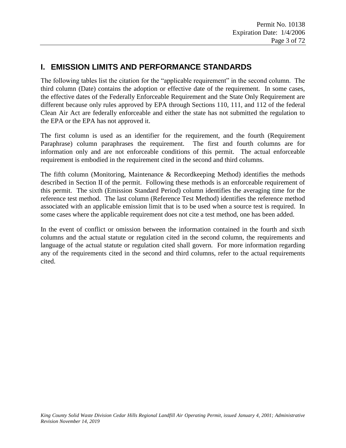# **I. EMISSION LIMITS AND PERFORMANCE STANDARDS**

The following tables list the citation for the "applicable requirement" in the second column. The third column (Date) contains the adoption or effective date of the requirement. In some cases, the effective dates of the Federally Enforceable Requirement and the State Only Requirement are different because only rules approved by EPA through Sections 110, 111, and 112 of the federal Clean Air Act are federally enforceable and either the state has not submitted the regulation to the EPA or the EPA has not approved it.

The first column is used as an identifier for the requirement, and the fourth (Requirement Paraphrase) column paraphrases the requirement. The first and fourth columns are for information only and are not enforceable conditions of this permit. The actual enforceable requirement is embodied in the requirement cited in the second and third columns.

The fifth column (Monitoring, Maintenance & Recordkeeping Method) identifies the methods described in Section II of the permit. Following these methods is an enforceable requirement of this permit. The sixth (Emission Standard Period) column identifies the averaging time for the reference test method. The last column (Reference Test Method) identifies the reference method associated with an applicable emission limit that is to be used when a source test is required. In some cases where the applicable requirement does not cite a test method, one has been added.

In the event of conflict or omission between the information contained in the fourth and sixth columns and the actual statute or regulation cited in the second column, the requirements and language of the actual statute or regulation cited shall govern. For more information regarding any of the requirements cited in the second and third columns, refer to the actual requirements cited.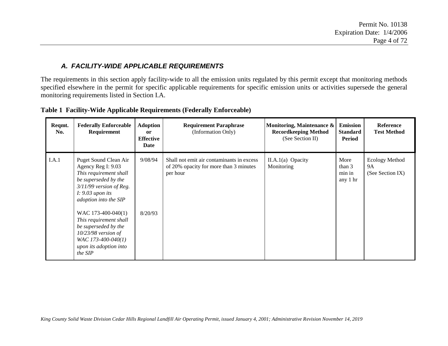### *A. FACILITY-WIDE APPLICABLE REQUIREMENTS*

The requirements in this section apply facility-wide to all the emission units regulated by this permit except that monitoring methods specified elsewhere in the permit for specific applicable requirements for specific emission units or activities supersede the general monitoring requirements listed in Section I.A.

| Reqmt.<br>No. | <b>Federally Enforceable</b><br>Requirement                                                                                                                                                                                                                                                                                           | <b>Adoption</b><br><b>or</b><br><b>Effective</b><br>Date | <b>Requirement Paraphrase</b><br>(Information Only)                                             | Monitoring, Maintenance &<br><b>Recordkeeping Method</b><br>(See Section II) | <b>Emission</b><br><b>Standard</b><br>Period | <b>Reference</b><br><b>Test Method</b>          |
|---------------|---------------------------------------------------------------------------------------------------------------------------------------------------------------------------------------------------------------------------------------------------------------------------------------------------------------------------------------|----------------------------------------------------------|-------------------------------------------------------------------------------------------------|------------------------------------------------------------------------------|----------------------------------------------|-------------------------------------------------|
| I.A.1         | Puget Sound Clean Air<br>Agency Reg I: 9.03<br>This requirement shall<br>be superseded by the<br>$3/11/99$ version of Reg.<br>$I: 9.03$ upon its<br>adoption into the SIP<br>WAC 173-400-040(1)<br>This requirement shall<br>be superseded by the<br>$10/23/98$ version of<br>WAC 173-400-040(1)<br>upon its adoption into<br>the SIP | 9/08/94<br>8/20/93                                       | Shall not emit air contaminants in excess<br>of 20% opacity for more than 3 minutes<br>per hour | $II.A.1(a)$ Opacity<br>Monitoring                                            | More<br>than 3<br>min in<br>any 1 hr         | <b>Ecology Method</b><br>9A<br>(See Section IX) |

**Table 1 Facility-Wide Applicable Requirements (Federally Enforceable)**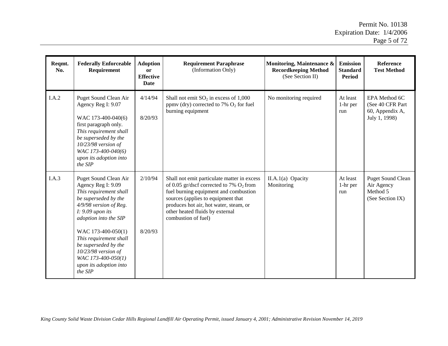| Reqmt.<br>No. | <b>Federally Enforceable</b><br>Requirement                                                                                                                                                                                                                                                                                        | <b>Adoption</b><br><b>or</b><br><b>Effective</b><br>Date | <b>Requirement Paraphrase</b><br>(Information Only)                                                                                                                                                                                                                          | Monitoring, Maintenance &<br><b>Recordkeeping Method</b><br>(See Section II) | <b>Emission</b><br><b>Standard</b><br>Period | Reference<br><b>Test Method</b>                                        |
|---------------|------------------------------------------------------------------------------------------------------------------------------------------------------------------------------------------------------------------------------------------------------------------------------------------------------------------------------------|----------------------------------------------------------|------------------------------------------------------------------------------------------------------------------------------------------------------------------------------------------------------------------------------------------------------------------------------|------------------------------------------------------------------------------|----------------------------------------------|------------------------------------------------------------------------|
| I.A.2         | Puget Sound Clean Air<br>Agency Reg I: 9.07<br>WAC 173-400-040(6)<br>first paragraph only.<br>This requirement shall<br>be superseded by the<br>10/23/98 version of<br>WAC 173-400-040(6)<br>upon its adoption into<br>the SIP                                                                                                     | 4/14/94<br>8/20/93                                       | Shall not emit $SO_2$ in excess of 1,000<br>ppmv (dry) corrected to 7% $O_2$ for fuel<br>burning equipment                                                                                                                                                                   | No monitoring required                                                       | At least<br>1-hr per<br>run                  | EPA Method 6C<br>(See 40 CFR Part<br>60, Appendix A,<br>July 1, 1998)  |
| I.A.3         | Puget Sound Clean Air<br>Agency Reg I: 9.09<br>This requirement shall<br>be superseded by the<br>4/9/98 version of Reg.<br>$I: 9.09$ upon its<br>adoption into the SIP<br>WAC 173-400-050(1)<br>This requirement shall<br>be superseded by the<br>$10/23/98$ version of<br>WAC 173-400-050(1)<br>upon its adoption into<br>the SIP | 2/10/94<br>8/20/93                                       | Shall not emit particulate matter in excess<br>of 0.05 gr/dscf corrected to 7% $O_2$ from<br>fuel burning equipment and combustion<br>sources (applies to equipment that<br>produces hot air, hot water, steam, or<br>other heated fluids by external<br>combustion of fuel) | II.A.1(a) Opacity<br>Monitoring                                              | At least<br>1-hr per<br>run                  | <b>Puget Sound Clean</b><br>Air Agency<br>Method 5<br>(See Section IX) |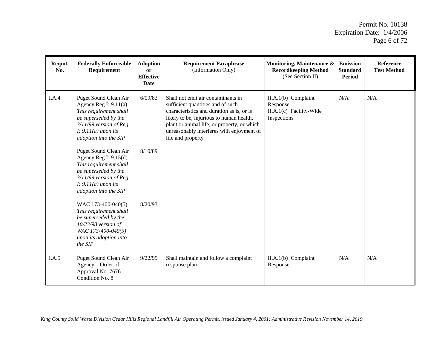| Reqmt.<br>No. | <b>Federally Enforceable</b><br>Requirement                                                                                                                                       | <b>Adoption</b><br>or<br><b>Effective</b><br>Date | <b>Requirement Paraphrase</b><br>(Information Only)                                                                                                                                                                                                                               | Monitoring, Maintenance &<br><b>Recordkeeping Method</b><br>(See Section II) | <b>Emission</b><br><b>Standard</b><br>Period | <b>Reference</b><br><b>Test Method</b> |
|---------------|-----------------------------------------------------------------------------------------------------------------------------------------------------------------------------------|---------------------------------------------------|-----------------------------------------------------------------------------------------------------------------------------------------------------------------------------------------------------------------------------------------------------------------------------------|------------------------------------------------------------------------------|----------------------------------------------|----------------------------------------|
| I.A.4         | Puget Sound Clean Air<br>Agency Reg I: $9.11(a)$<br>This requirement shall<br>be superseded by the<br>$3/11/99$ version of Reg.<br>$I: 9.11(a)$ upon its<br>adoption into the SIP | 6/09/83                                           | Shall not emit air contaminants in<br>sufficient quantities and of such<br>characteristics and duration as is, or is<br>likely to be, injurious to human health,<br>plant or animal life, or property, or which<br>unreasonably interferes with enjoyment of<br>life and property | $II.A.1(b)$ Complaint<br>Response<br>II.A.1(c) Facility-Wide<br>Inspections  | N/A                                          | N/A                                    |
|               | Puget Sound Clean Air<br>Agency Reg I: $9.15(d)$<br>This requirement shall<br>be superseded by the<br>$3/11/99$ version of Reg.<br>$I: 9.11(a)$ upon its<br>adoption into the SIP | 8/10/89                                           |                                                                                                                                                                                                                                                                                   |                                                                              |                                              |                                        |
|               | WAC 173-400-040(5)<br>This requirement shall<br>be superseded by the<br>10/23/98 version of<br>WAC 173-400-040(5)<br>upon its adoption into<br>the SIP                            | 8/20/93                                           |                                                                                                                                                                                                                                                                                   |                                                                              |                                              |                                        |
| I.A.5         | Puget Sound Clean Air<br>Agency – Order of<br>Approval No. 7676<br>Condition No. 8                                                                                                | 9/22/99                                           | Shall maintain and follow a complaint<br>response plan                                                                                                                                                                                                                            | II.A.1(b) Complaint<br>Response                                              | N/A                                          | N/A                                    |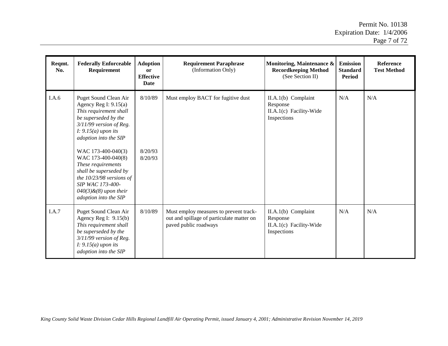| Reqmt.<br>No. | <b>Federally Enforceable</b><br>Requirement                                                                                                                                                                                                                                                                                                                                        | <b>Adoption</b><br><b>or</b><br><b>Effective</b><br><b>Date</b> | <b>Requirement Paraphrase</b><br>(Information Only)                                                          | Monitoring, Maintenance &<br><b>Recordkeeping Method</b><br>(See Section II) | <b>Emission</b><br><b>Standard</b><br><b>Period</b> | <b>Reference</b><br><b>Test Method</b> |
|---------------|------------------------------------------------------------------------------------------------------------------------------------------------------------------------------------------------------------------------------------------------------------------------------------------------------------------------------------------------------------------------------------|-----------------------------------------------------------------|--------------------------------------------------------------------------------------------------------------|------------------------------------------------------------------------------|-----------------------------------------------------|----------------------------------------|
| I.A.6         | Puget Sound Clean Air<br>Agency Reg I: $9.15(a)$<br>This requirement shall<br>be superseded by the<br>$3/11/99$ version of Reg.<br>$I: 9.15(a)$ upon its<br>adoption into the SIP<br>WAC 173-400-040(3)<br>WAC 173-400-040(8)<br>These requirements<br>shall be superseded by<br>the 10/23/98 versions of<br>SIP WAC 173-400-<br>$040(3)$ &(8) upon their<br>adoption into the SIP | 8/10/89<br>8/20/93<br>8/20/93                                   | Must employ BACT for fugitive dust                                                                           | $II.A.1(b)$ Complaint<br>Response<br>II.A.1(c) Facility-Wide<br>Inspections  | N/A                                                 | N/A                                    |
| I.A.7         | Puget Sound Clean Air<br>Agency Reg I: $9.15(b)$<br>This requirement shall<br>be superseded by the<br>$3/11/99$ version of Reg.<br>$I: 9.15(a)$ upon its<br>adoption into the SIP                                                                                                                                                                                                  | 8/10/89                                                         | Must employ measures to prevent track-<br>out and spillage of particulate matter on<br>paved public roadways | $II.A.1(b)$ Complaint<br>Response<br>II.A.1(c) Facility-Wide<br>Inspections  | N/A                                                 | N/A                                    |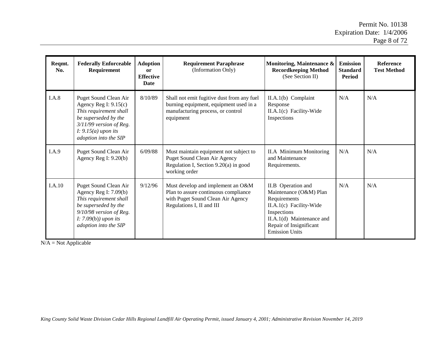| Reqmt.<br>No. | <b>Federally Enforceable</b><br>Requirement                                                                                                                                         | <b>Adoption</b><br><b>or</b><br><b>Effective</b><br><b>Date</b> | <b>Requirement Paraphrase</b><br>(Information Only)                                                                                         | Monitoring, Maintenance &<br><b>Recordkeeping Method</b><br>(See Section II)                                                                                                            | <b>Emission</b><br><b>Standard</b><br>Period | <b>Reference</b><br><b>Test Method</b> |
|---------------|-------------------------------------------------------------------------------------------------------------------------------------------------------------------------------------|-----------------------------------------------------------------|---------------------------------------------------------------------------------------------------------------------------------------------|-----------------------------------------------------------------------------------------------------------------------------------------------------------------------------------------|----------------------------------------------|----------------------------------------|
| I.A.8         | Puget Sound Clean Air<br>Agency Reg I: $9.15(c)$<br>This requirement shall<br>be superseded by the<br>$3/11/99$ version of Reg.<br>$I: 9.15(a)$ upon its<br>adoption into the SIP   | 8/10/89                                                         | Shall not emit fugitive dust from any fuel<br>burning equipment, equipment used in a<br>manufacturing process, or control<br>equipment      | $II.A.1(b)$ Complaint<br>Response<br>II.A.1(c) Facility-Wide<br>Inspections                                                                                                             | N/A                                          | N/A                                    |
| I.A.9         | Puget Sound Clean Air<br>Agency Reg I: $9.20(b)$                                                                                                                                    | 6/09/88                                                         | Must maintain equipment not subject to<br>Puget Sound Clean Air Agency<br>Regulation I, Section 9.20(a) in good<br>working order            | <b>II.A</b> Minimum Monitoring<br>and Maintenance<br>Requirements.                                                                                                                      | N/A                                          | N/A                                    |
| I.A.10        | Puget Sound Clean Air<br>Agency Reg I: $7.09(b)$<br>This requirement shall<br>be superseded by the<br>$9/10/98$ version of Reg.<br>$I: 7.09(b)$ ) upon its<br>adoption into the SIP | 9/12/96                                                         | Must develop and implement an O&M<br>Plan to assure continuous compliance<br>with Puget Sound Clean Air Agency<br>Regulations I, II and III | II.B Operation and<br>Maintenance (O&M) Plan<br>Requirements<br>II.A.1(c) Facility-Wide<br>Inspections<br>II.A.1(d) Maintenance and<br>Repair of Insignificant<br><b>Emission Units</b> | N/A                                          | N/A                                    |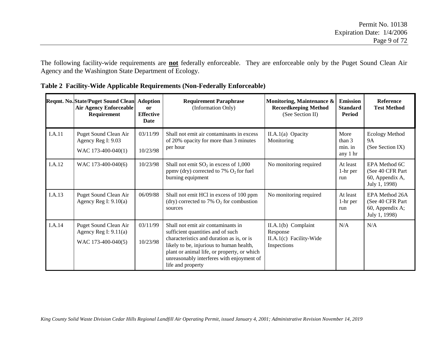The following facility-wide requirements are **not** federally enforceable. They are enforceable only by the Puget Sound Clean Air Agency and the Washington State Department of Ecology.

|        | Reqmt. No. State/Puget Sound Clean<br><b>Air Agency Enforceable</b><br>Requirement | <b>Adoption</b><br><sub>or</sub><br><b>Effective</b><br>Date | <b>Requirement Paraphrase</b><br>(Information Only)                                                                                                                                                                                                                               | Monitoring, Maintenance &<br><b>Recordkeeping Method</b><br>(See Section II) | <b>Emission</b><br><b>Standard</b><br>Period | <b>Reference</b><br><b>Test Method</b>                                  |
|--------|------------------------------------------------------------------------------------|--------------------------------------------------------------|-----------------------------------------------------------------------------------------------------------------------------------------------------------------------------------------------------------------------------------------------------------------------------------|------------------------------------------------------------------------------|----------------------------------------------|-------------------------------------------------------------------------|
| I.A.11 | Puget Sound Clean Air<br>Agency Reg I: 9.03<br>WAC 173-400-040(1)                  | 03/11/99<br>10/23/98                                         | Shall not emit air contaminants in excess<br>of 20% opacity for more than 3 minutes<br>per hour                                                                                                                                                                                   | $II.A.1(a)$ Opacity<br>Monitoring                                            | More<br>than $3$<br>min. in<br>any 1 hr      | <b>Ecology Method</b><br><b>9A</b><br>(See Section IX)                  |
| I.A.12 | WAC 173-400-040(6)                                                                 | 10/23/98                                                     | Shall not emit $SO_2$ in excess of 1,000<br>ppmv (dry) corrected to 7% $O_2$ for fuel<br>burning equipment                                                                                                                                                                        | No monitoring required                                                       | At least<br>1-hr per<br>run                  | EPA Method 6C<br>(See 40 CFR Part)<br>60, Appendix A,<br>July 1, 1998)  |
| I.A.13 | Puget Sound Clean Air<br>Agency Reg I: $9.10(a)$                                   | 06/09/88                                                     | Shall not emit HCl in excess of 100 ppm<br>(dry) corrected to 7% $O_2$ for combustion<br>sources                                                                                                                                                                                  | No monitoring required                                                       | At least<br>$1-hr$ per<br>run                | EPA Method 26A<br>(See 40 CFR Part)<br>60, Appendix A;<br>July 1, 1998) |
| I.A.14 | Puget Sound Clean Air<br>Agency Reg I: 9.11(a)<br>WAC 173-400-040(5)               | 03/11/99<br>10/23/98                                         | Shall not emit air contaminants in<br>sufficient quantities and of such<br>characteristics and duration as is, or is<br>likely to be, injurious to human health,<br>plant or animal life, or property, or which<br>unreasonably interferes with enjoyment of<br>life and property | $II.A.1(b)$ Complaint<br>Response<br>II.A.1(c) Facility-Wide<br>Inspections  | N/A                                          | N/A                                                                     |

**Table 2 Facility-Wide Applicable Requirements (Non-Federally Enforceable)**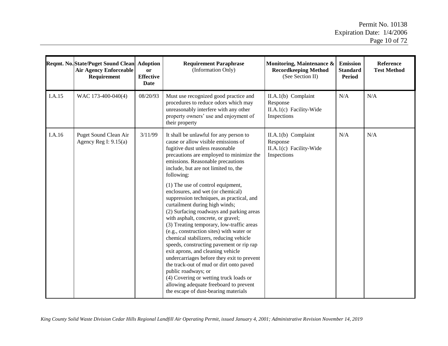$\mathbb{R}$ 

|        | Reqmt. No. State/Puget Sound Clean<br><b>Air Agency Enforceable</b><br>Requirement | <b>Adoption</b><br>or<br><b>Effective</b><br>Date | <b>Requirement Paraphrase</b><br>(Information Only)                                                                                                                                                                                                                                                                                                                                                                                                                                                                                                                                                                                                                                                                                                                                                                                                                                                                                                                  | Monitoring, Maintenance &<br><b>Recordkeeping Method</b><br>(See Section II) | <b>Emission</b><br><b>Standard</b><br><b>Period</b> | <b>Reference</b><br><b>Test Method</b> |
|--------|------------------------------------------------------------------------------------|---------------------------------------------------|----------------------------------------------------------------------------------------------------------------------------------------------------------------------------------------------------------------------------------------------------------------------------------------------------------------------------------------------------------------------------------------------------------------------------------------------------------------------------------------------------------------------------------------------------------------------------------------------------------------------------------------------------------------------------------------------------------------------------------------------------------------------------------------------------------------------------------------------------------------------------------------------------------------------------------------------------------------------|------------------------------------------------------------------------------|-----------------------------------------------------|----------------------------------------|
| I.A.15 | WAC 173-400-040(4)                                                                 | 08/20/93                                          | Must use recognized good practice and<br>procedures to reduce odors which may<br>unreasonably interfere with any other<br>property owners' use and enjoyment of<br>their property                                                                                                                                                                                                                                                                                                                                                                                                                                                                                                                                                                                                                                                                                                                                                                                    | $II.A.1(b)$ Complaint<br>Response<br>II.A.1(c) Facility-Wide<br>Inspections  | N/A                                                 | N/A                                    |
| I.A.16 | Puget Sound Clean Air<br>Agency Reg I: $9.15(a)$                                   | 3/11/99                                           | It shall be unlawful for any person to<br>cause or allow visible emissions of<br>fugitive dust unless reasonable<br>precautions are employed to minimize the<br>emissions. Reasonable precautions<br>include, but are not limited to, the<br>following:<br>$(1)$ The use of control equipment,<br>enclosures, and wet (or chemical)<br>suppression techniques, as practical, and<br>curtailment during high winds;<br>(2) Surfacing roadways and parking areas<br>with asphalt, concrete, or gravel;<br>(3) Treating temporary, low-traffic areas<br>(e.g., construction sites) with water or<br>chemical stabilizers, reducing vehicle<br>speeds, constructing pavement or rip rap<br>exit aprons, and cleaning vehicle<br>undercarriages before they exit to prevent<br>the track-out of mud or dirt onto paved<br>public roadways; or<br>(4) Covering or wetting truck loads or<br>allowing adequate freeboard to prevent<br>the escape of dust-bearing materials | $II.A.1(b)$ Complaint<br>Response<br>II.A.1(c) Facility-Wide<br>Inspections  | N/A                                                 | N/A                                    |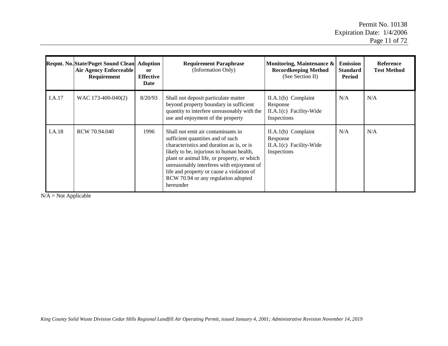|        | <b>Reqmt. No. State/Puget Sound Clean</b><br><b>Air Agency Enforceable</b><br>Requirement | Adoption<br><sub>or</sub><br><b>Effective</b><br>Date | <b>Requirement Paraphrase</b><br>(Information Only)                                                                                                                                                                                                                                                                                                           | Monitoring, Maintenance &<br><b>Recordkeeping Method</b><br>(See Section II) | <b>Emission</b><br><b>Standard</b><br>Period | <b>Reference</b><br><b>Test Method</b> |
|--------|-------------------------------------------------------------------------------------------|-------------------------------------------------------|---------------------------------------------------------------------------------------------------------------------------------------------------------------------------------------------------------------------------------------------------------------------------------------------------------------------------------------------------------------|------------------------------------------------------------------------------|----------------------------------------------|----------------------------------------|
| I.A.17 | WAC 173-400-040(2)                                                                        | 8/20/93                                               | Shall not deposit particulate matter<br>beyond property boundary in sufficient<br>quantity to interfere unreasonably with the<br>use and enjoyment of the property                                                                                                                                                                                            | $II.A.1(b)$ Complaint<br>Response<br>II.A.1(c) Facility-Wide<br>Inspections  | N/A                                          | N/A                                    |
| I.A.18 | RCW 70.94.040                                                                             | 1996                                                  | Shall not emit air contaminants in<br>sufficient quantities and of such<br>characteristics and duration as is, or is<br>likely to be, injurious to human health,<br>plant or animal life, or property, or which<br>unreasonably interferes with enjoyment of<br>life and property or cause a violation of<br>RCW 70.94 or any regulation adopted<br>hereunder | $II.A.1(b)$ Complaint<br>Response<br>II.A.1(c) Facility-Wide<br>Inspections  | N/A                                          | N/A                                    |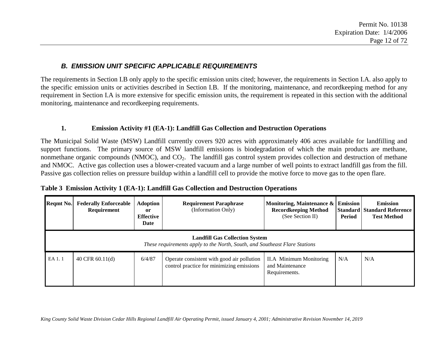## *B. EMISSION UNIT SPECIFIC APPLICABLE REQUIREMENTS*

The requirements in Section I.B only apply to the specific emission units cited; however, the requirements in Section I.A. also apply to the specific emission units or activities described in Section I.B. If the monitoring, maintenance, and recordkeeping method for any requirement in Section I.A is more extensive for specific emission units, the requirement is repeated in this section with the additional monitoring, maintenance and recordkeeping requirements.

#### **1. Emission Activity #1 (EA-1): Landfill Gas Collection and Destruction Operations**

The Municipal Solid Waste (MSW) Landfill currently covers 920 acres with approximately 406 acres available for landfilling and support functions. The primary source of MSW landfill emissions is biodegradation of which the main products are methane, nonmethane organic compounds (NMOC), and  $CO<sub>2</sub>$ . The landfill gas control system provides collection and destruction of methane and NMOC. Active gas collection uses a blower-created vacuum and a large number of well points to extract landfill gas from the fill. Passive gas collection relies on pressure buildup within a landfill cell to provide the motive force to move gas to the open flare.

| <b>Regmt No.</b> | <b>Federally Enforceable</b><br>Requirement                                                                         | <b>Adoption</b><br><sub>or</sub><br><b>Effective</b><br>Date | <b>Requirement Paraphrase</b><br>(Information Only)                                     | Monitoring, Maintenance &<br><b>Recordkeeping Method</b><br>(See Section II) | <b>Emission</b><br>Period | <b>Emission</b><br><b>Standard Standard Reference</b><br><b>Test Method</b> |  |  |  |  |
|------------------|---------------------------------------------------------------------------------------------------------------------|--------------------------------------------------------------|-----------------------------------------------------------------------------------------|------------------------------------------------------------------------------|---------------------------|-----------------------------------------------------------------------------|--|--|--|--|
|                  | <b>Landfill Gas Collection System</b><br>These requirements apply to the North, South, and Southeast Flare Stations |                                                              |                                                                                         |                                                                              |                           |                                                                             |  |  |  |  |
| EA 1.1           | 40 CFR $60.11(d)$                                                                                                   | 6/4/87                                                       | Operate consistent with good air pollution<br>control practice for minimizing emissions | II.A Minimum Monitoring<br>and Maintenance<br>Requirements.                  | N/A                       | N/A                                                                         |  |  |  |  |

|  |  |  |  |  |  |  | Table 3 Emission Activity 1 (EA-1): Landfill Gas Collection and Destruction Operations |
|--|--|--|--|--|--|--|----------------------------------------------------------------------------------------|
|--|--|--|--|--|--|--|----------------------------------------------------------------------------------------|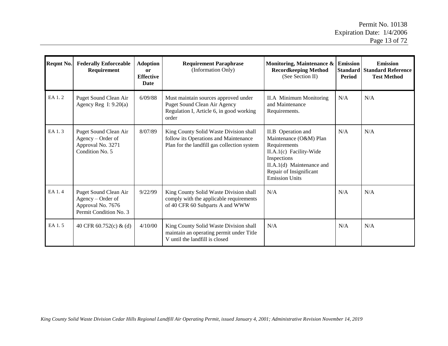| Reqmt No. | <b>Federally Enforceable</b><br>Requirement                                               | <b>Adoption</b><br><sub>or</sub><br><b>Effective</b><br>Date | <b>Requirement Paraphrase</b><br>(Information Only)                                                                            | Monitoring, Maintenance $\&$ Emission<br><b>Recordkeeping Method</b><br>(See Section II)                                                                                                | <b>Standard</b><br>Period | <b>Emission</b><br><b>Standard Reference</b><br><b>Test Method</b> |
|-----------|-------------------------------------------------------------------------------------------|--------------------------------------------------------------|--------------------------------------------------------------------------------------------------------------------------------|-----------------------------------------------------------------------------------------------------------------------------------------------------------------------------------------|---------------------------|--------------------------------------------------------------------|
| EA 1.2    | Puget Sound Clean Air<br>Agency Reg I: $9.20(a)$                                          | 6/09/88                                                      | Must maintain sources approved under<br>Puget Sound Clean Air Agency<br>Regulation I, Article 6, in good working<br>order      | <b>II.A</b> Minimum Monitoring<br>and Maintenance<br>Requirements.                                                                                                                      | N/A                       | N/A                                                                |
| EA 1.3    | Puget Sound Clean Air<br>Agency – Order of<br>Approval No. 3271<br>Condition No. 5        | 8/07/89                                                      | King County Solid Waste Division shall<br>follow its Operations and Maintenance<br>Plan for the landfill gas collection system | II.B Operation and<br>Maintenance (O&M) Plan<br>Requirements<br>II.A.1(c) Facility-Wide<br>Inspections<br>II.A.1(d) Maintenance and<br>Repair of Insignificant<br><b>Emission Units</b> | N/A                       | N/A                                                                |
| EA 1.4    | Puget Sound Clean Air<br>Agency – Order of<br>Approval No. 7676<br>Permit Condition No. 3 | 9/22/99                                                      | King County Solid Waste Division shall<br>comply with the applicable requirements<br>of 40 CFR 60 Subparts A and WWW           | N/A                                                                                                                                                                                     | N/A                       | N/A                                                                |
| EA 1.5    | 40 CFR $60.752(c)$ & (d)                                                                  | 4/10/00                                                      | King County Solid Waste Division shall<br>maintain an operating permit under Title<br>V until the landfill is closed           | N/A                                                                                                                                                                                     | N/A                       | N/A                                                                |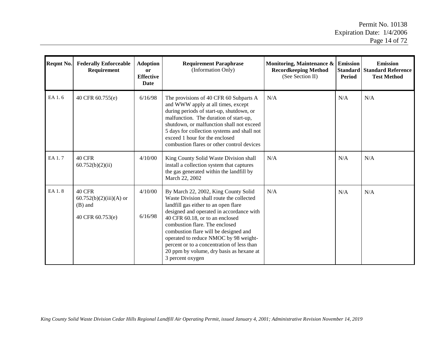| Reqmt No. | <b>Federally Enforceable</b><br>Requirement                        | <b>Adoption</b><br><sub>or</sub><br><b>Effective</b><br>Date | <b>Requirement Paraphrase</b><br>(Information Only)                                                                                                                                                                                                                                                                                                                                                                                       | Monitoring, Maintenance $\&$ Emission<br><b>Recordkeeping Method</b><br>(See Section II) | Standard<br><b>Period</b> | <b>Emission</b><br><b>Standard Reference</b><br><b>Test Method</b> |
|-----------|--------------------------------------------------------------------|--------------------------------------------------------------|-------------------------------------------------------------------------------------------------------------------------------------------------------------------------------------------------------------------------------------------------------------------------------------------------------------------------------------------------------------------------------------------------------------------------------------------|------------------------------------------------------------------------------------------|---------------------------|--------------------------------------------------------------------|
| EA 1.6    | 40 CFR 60.755(e)                                                   | 6/16/98                                                      | The provisions of 40 CFR 60 Subparts A<br>and WWW apply at all times, except<br>during periods of start-up, shutdown, or<br>malfunction. The duration of start-up,<br>shutdown, or malfunction shall not exceed<br>5 days for collection systems and shall not<br>exceed 1 hour for the enclosed<br>combustion flares or other control devices                                                                                            | N/A                                                                                      | N/A                       | N/A                                                                |
| EA 1.7    | <b>40 CFR</b><br>60.752(b)(2)(ii)                                  | 4/10/00                                                      | King County Solid Waste Division shall<br>install a collection system that captures<br>the gas generated within the landfill by<br>March 22, 2002                                                                                                                                                                                                                                                                                         | N/A                                                                                      | N/A                       | N/A                                                                |
| EA 1.8    | 40 CFR<br>$60.752(b)(2)(iii)(A)$ or<br>(B) and<br>40 CFR 60.753(e) | 4/10/00<br>6/16/98                                           | By March 22, 2002, King County Solid<br>Waste Division shall route the collected<br>landfill gas either to an open flare<br>designed and operated in accordance with<br>40 CFR 60.18, or to an enclosed<br>combustion flare. The enclosed<br>combustion flare will be designed and<br>operated to reduce NMOC by 98 weight-<br>percent or to a concentration of less than<br>20 ppm by volume, dry basis as hexane at<br>3 percent oxygen | N/A                                                                                      | N/A                       | N/A                                                                |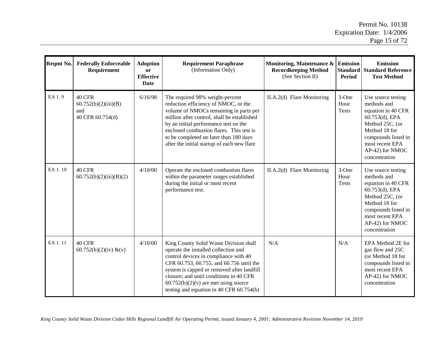| Reqmt No. | <b>Federally Enforceable</b><br>Requirement               | <b>Adoption</b><br><b>or</b><br><b>Effective</b><br>Date | <b>Requirement Paraphrase</b><br>(Information Only)                                                                                                                                                                                                                                                                                                  | Monitoring, Maintenance &<br><b>Recordkeeping Method</b><br>(See Section II) | <b>Emission</b><br><b>Standard</b><br><b>Period</b> | <b>Emission</b><br><b>Standard Reference</b><br><b>Test Method</b>                                                                                                                          |
|-----------|-----------------------------------------------------------|----------------------------------------------------------|------------------------------------------------------------------------------------------------------------------------------------------------------------------------------------------------------------------------------------------------------------------------------------------------------------------------------------------------------|------------------------------------------------------------------------------|-----------------------------------------------------|---------------------------------------------------------------------------------------------------------------------------------------------------------------------------------------------|
| EA 1.9    | 40 CFR<br>60.752(b)(2)(iii)(B)<br>and<br>40 CFR 60.754(d) | 6/16/98                                                  | The required 98% weight-percent<br>reduction efficiency of NMOC, or the<br>volume of NMOCs remaining in parts per<br>million after control, shall be established<br>by an initial performance test on the<br>enclosed combustion flares. This test is<br>to be completed no later than 180 days<br>after the initial startup of each new flare       | II.A.2(d) Flare Monitoring                                                   | 3-One<br>Hour<br><b>Tests</b>                       | Use source testing<br>methods and<br>equation in 40 CFR<br>60.753(d), EPA<br>Method 25C, (or<br>Method 18 for<br>compounds listed in<br>most recent EPA<br>AP-42) for NMOC<br>concentration |
| EA 1.10   | 40 CFR<br>60.752(b)(2)(iii)(B)(2)                         | 4/10/00                                                  | Operate the enclosed combustion flares<br>within the parameter ranges established<br>during the initial or most recent<br>performance test.                                                                                                                                                                                                          | II.A.2(d) Flare Monitoring                                                   | 3-One<br>Hour<br><b>Tests</b>                       | Use source testing<br>methods and<br>equation in 40 CFR<br>60.753(d), EPA<br>Method 25C, (or<br>Method 18 for<br>compounds listed in<br>most recent EPA<br>AP-42) for NMOC<br>concentration |
| EA 1.11   | <b>40 CFR</b><br>$60.752(b)(2)(iv) \& (v)$                | 4/10/00                                                  | King County Solid Waste Division shall<br>operate the installed collection and<br>control devices in compliance with 40<br>CFR 60.753, 60.755, and 60.756 until the<br>system is capped or removed after landfill<br>closure; and until conditions in 40 CFR<br>$60.752(b)(2)(v)$ are met using source<br>testing and equation in 40 CFR $60.754(b)$ | N/A                                                                          | N/A                                                 | EPA Method 2E for<br>gas flow and 25C<br>(or Method 18 for<br>compounds listed in<br>most recent EPA<br>AP-42) for NMOC<br>concentration                                                    |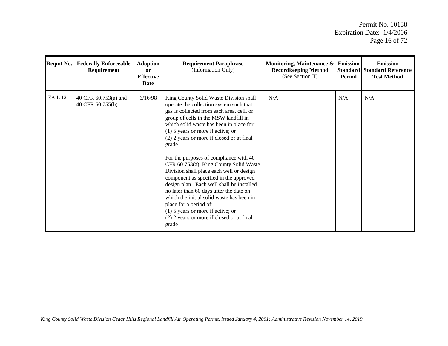| Reqmt No. | <b>Federally Enforceable</b><br>Requirement | <b>Adoption</b><br><sub>or</sub><br><b>Effective</b><br><b>Date</b> | <b>Requirement Paraphrase</b><br>(Information Only)                                                                                                                                                                                                                                                                                                                                                                                                                                                                                                                                                                                                                                                                                                    | Monitoring, Maintenance $\&$ Emission<br><b>Recordkeeping Method</b><br>(See Section II) | <b>Standard</b><br><b>Period</b> | <b>Emission</b><br><b>Standard Reference</b><br><b>Test Method</b> |
|-----------|---------------------------------------------|---------------------------------------------------------------------|--------------------------------------------------------------------------------------------------------------------------------------------------------------------------------------------------------------------------------------------------------------------------------------------------------------------------------------------------------------------------------------------------------------------------------------------------------------------------------------------------------------------------------------------------------------------------------------------------------------------------------------------------------------------------------------------------------------------------------------------------------|------------------------------------------------------------------------------------------|----------------------------------|--------------------------------------------------------------------|
| EA 1.12   | 40 CFR 60.753(a) and<br>40 CFR 60.755(b)    | 6/16/98                                                             | King County Solid Waste Division shall<br>operate the collection system such that<br>gas is collected from each area, cell, or<br>group of cells in the MSW landfill in<br>which solid waste has been in place for:<br>$(1)$ 5 years or more if active; or<br>(2) 2 years or more if closed or at final<br>grade<br>For the purposes of compliance with 40<br>CFR 60.753(a), King County Solid Waste<br>Division shall place each well or design<br>component as specified in the approved<br>design plan. Each well shall be installed<br>no later than 60 days after the date on<br>which the initial solid waste has been in<br>place for a period of:<br>$(1)$ 5 years or more if active; or<br>(2) 2 years or more if closed or at final<br>grade | N/A                                                                                      | N/A                              | N/A                                                                |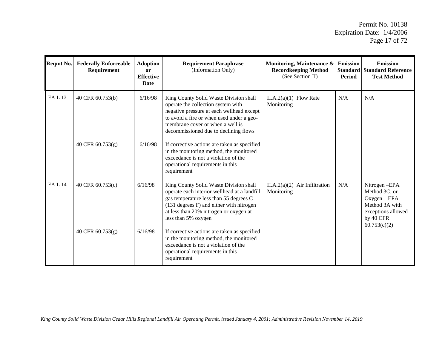$\overline{a}$ 

| Regmt No. | <b>Federally Enforceable</b><br>Requirement | <b>Adoption</b><br>or<br><b>Effective</b><br>Date | <b>Requirement Paraphrase</b><br>(Information Only)                                                                                                                                                                                                                                                                                                                                                                                       | Monitoring, Maintenance &<br><b>Recordkeeping Method</b><br>(See Section II) | <b>Emission</b><br><b>Standard</b><br><b>Period</b> | <b>Emission</b><br><b>Standard Reference</b><br><b>Test Method</b>                                                   |
|-----------|---------------------------------------------|---------------------------------------------------|-------------------------------------------------------------------------------------------------------------------------------------------------------------------------------------------------------------------------------------------------------------------------------------------------------------------------------------------------------------------------------------------------------------------------------------------|------------------------------------------------------------------------------|-----------------------------------------------------|----------------------------------------------------------------------------------------------------------------------|
| EA 1.13   | 40 CFR 60.753(b)<br>40 CFR 60.753(g)        | 6/16/98<br>6/16/98                                | King County Solid Waste Division shall<br>operate the collection system with<br>negative pressure at each wellhead except<br>to avoid a fire or when used under a geo-<br>membrane cover or when a well is<br>decommissioned due to declining flows<br>If corrective actions are taken as specified<br>in the monitoring method, the monitored<br>exceedance is not a violation of the<br>operational requirements in this<br>requirement | $II.A.2(a)(1)$ Flow Rate<br>Monitoring                                       | N/A                                                 | N/A                                                                                                                  |
| EA 1.14   | 40 CFR 60.753(c)<br>40 CFR 60.753(g)        | 6/16/98<br>6/16/98                                | King County Solid Waste Division shall<br>operate each interior wellhead at a landfill<br>gas temperature less than 55 degrees C<br>(131 degrees F) and either with nitrogen<br>at less than 20% nitrogen or oxygen at<br>less than 5% oxygen<br>If corrective actions are taken as specified<br>in the monitoring method, the monitored<br>exceedance is not a violation of the<br>operational requirements in this<br>requirement       | $II.A.2(a)(2)$ Air Infiltration<br>Monitoring                                | N/A                                                 | Nitrogen-EPA<br>Method 3C, or<br>$Oxygen - EPA$<br>Method 3A with<br>exceptions allowed<br>by 40 CFR<br>60.753(c)(2) |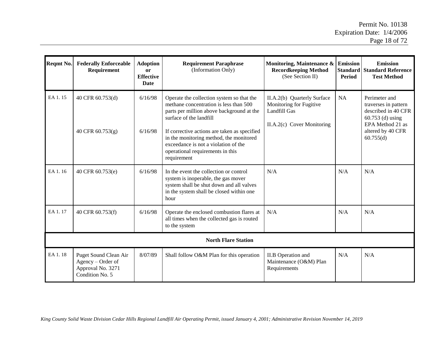| Reqmt No. | <b>Federally Enforceable</b><br>Requirement                                        | <b>Adoption</b><br>or<br><b>Effective</b><br>Date | <b>Requirement Paraphrase</b><br>(Information Only)                                                                                                                                                                                                                                                                                               | Monitoring, Maintenance &<br><b>Recordkeeping Method</b><br>(See Section II)                         | <b>Emission</b><br><b>Standard</b><br>Period | <b>Emission</b><br><b>Standard Reference</b><br><b>Test Method</b>                                                                       |  |  |  |
|-----------|------------------------------------------------------------------------------------|---------------------------------------------------|---------------------------------------------------------------------------------------------------------------------------------------------------------------------------------------------------------------------------------------------------------------------------------------------------------------------------------------------------|------------------------------------------------------------------------------------------------------|----------------------------------------------|------------------------------------------------------------------------------------------------------------------------------------------|--|--|--|
| EA 1.15   | 40 CFR 60.753(d)<br>40 CFR 60.753(g)                                               | 6/16/98<br>6/16/98                                | Operate the collection system so that the<br>methane concentration is less than 500<br>parts per million above background at the<br>surface of the landfill<br>If corrective actions are taken as specified<br>in the monitoring method, the monitored<br>exceedance is not a violation of the<br>operational requirements in this<br>requirement | II.A.2(b) Quarterly Surface<br>Monitoring for Fugitive<br>Landfill Gas<br>II.A.2(c) Cover Monitoring | NA                                           | Perimeter and<br>traverses in pattern<br>described in 40 CFR<br>$60.753$ (d) using<br>EPA Method 21 as<br>altered by 40 CFR<br>60.755(d) |  |  |  |
| EA 1.16   | 40 CFR 60.753(e)                                                                   | 6/16/98                                           | In the event the collection or control<br>system is inoperable, the gas mover<br>system shall be shut down and all valves<br>in the system shall be closed within one<br>hour                                                                                                                                                                     | N/A                                                                                                  | N/A                                          | N/A                                                                                                                                      |  |  |  |
| EA 1.17   | 40 CFR 60.753(f)                                                                   | 6/16/98                                           | Operate the enclosed combustion flares at<br>all times when the collected gas is routed<br>to the system                                                                                                                                                                                                                                          | N/A                                                                                                  | N/A                                          | N/A                                                                                                                                      |  |  |  |
|           | <b>North Flare Station</b>                                                         |                                                   |                                                                                                                                                                                                                                                                                                                                                   |                                                                                                      |                                              |                                                                                                                                          |  |  |  |
| EA 1.18   | Puget Sound Clean Air<br>Agency – Order of<br>Approval No. 3271<br>Condition No. 5 | 8/07/89                                           | Shall follow O&M Plan for this operation                                                                                                                                                                                                                                                                                                          | II.B Operation and<br>Maintenance (O&M) Plan<br>Requirements                                         | N/A                                          | N/A                                                                                                                                      |  |  |  |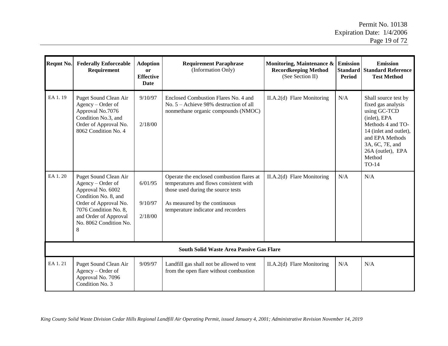| Reqmt No.                                       | <b>Federally Enforceable</b><br>Requirement                                                                                                                                                       | <b>Adoption</b><br><b>or</b><br><b>Effective</b><br><b>Date</b> | <b>Requirement Paraphrase</b><br>(Information Only)                                                                                                                                               | Monitoring, Maintenance &<br><b>Recordkeeping Method</b><br>(See Section II) | <b>Emission</b><br><b>Standard</b><br><b>Period</b> | <b>Emission</b><br><b>Standard Reference</b><br><b>Test Method</b>                                                                                                                                      |  |  |
|-------------------------------------------------|---------------------------------------------------------------------------------------------------------------------------------------------------------------------------------------------------|-----------------------------------------------------------------|---------------------------------------------------------------------------------------------------------------------------------------------------------------------------------------------------|------------------------------------------------------------------------------|-----------------------------------------------------|---------------------------------------------------------------------------------------------------------------------------------------------------------------------------------------------------------|--|--|
| EA 1.19                                         | Puget Sound Clean Air<br>Agency – Order of<br>Approval No.7076<br>Condition No.3, and<br>Order of Approval No.<br>8062 Condition No. 4                                                            | 9/10/97<br>2/18/00                                              | Enclosed Combustion Flares No. 4 and<br>No. $5 -$ Achieve 98% destruction of all<br>nonmethane organic compounds (NMOC)                                                                           | II.A.2(d) Flare Monitoring                                                   | N/A                                                 | Shall source test by<br>fixed gas analysis<br>using GC-TCD<br>(inlet), EPA<br>Methods 4 and TO-<br>14 (inlet and outlet),<br>and EPA Methods<br>3A, 6C, 7E, and<br>26A (outlet), EPA<br>Method<br>TO-14 |  |  |
| EA 1.20                                         | Puget Sound Clean Air<br>Agency – Order of<br>Approval No. 6002<br>Condition No. 8, and<br>Order of Approval No.<br>7076 Condition No. 8,<br>and Order of Approval<br>No. 8062 Condition No.<br>8 | 6/01/95<br>9/10/97<br>2/18/00                                   | Operate the enclosed combustion flares at<br>temperatures and flows consistent with<br>those used during the source tests<br>As measured by the continuous<br>temperature indicator and recorders | II.A.2(d) Flare Monitoring                                                   | N/A                                                 | N/A                                                                                                                                                                                                     |  |  |
| <b>South Solid Waste Area Passive Gas Flare</b> |                                                                                                                                                                                                   |                                                                 |                                                                                                                                                                                                   |                                                                              |                                                     |                                                                                                                                                                                                         |  |  |
| EA 1.21                                         | Puget Sound Clean Air<br>Agency – Order of<br>Approval No. 7096<br>Condition No. 3                                                                                                                | 9/09/97                                                         | Landfill gas shall not be allowed to vent<br>from the open flare without combustion                                                                                                               | II.A.2(d) Flare Monitoring                                                   | N/A                                                 | N/A                                                                                                                                                                                                     |  |  |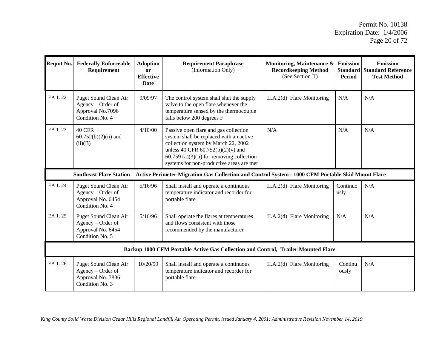$\overline{a}$ 

| Reqmt No. | <b>Federally Enforceable</b><br>Requirement                                        | <b>Adoption</b><br><b>or</b><br><b>Effective</b><br>Date | <b>Requirement Paraphrase</b><br>(Information Only)                                                                                                                                                                                                       | Monitoring, Maintenance &<br><b>Recordkeeping Method</b><br>(See Section II) | <b>Emission</b><br><b>Standard</b><br><b>Period</b> | <b>Emission</b><br><b>Standard Reference</b><br><b>Test Method</b> |
|-----------|------------------------------------------------------------------------------------|----------------------------------------------------------|-----------------------------------------------------------------------------------------------------------------------------------------------------------------------------------------------------------------------------------------------------------|------------------------------------------------------------------------------|-----------------------------------------------------|--------------------------------------------------------------------|
| EA 1.22   | Puget Sound Clean Air<br>Agency – Order of<br>Approval No.7096<br>Condition No. 4  | 9/09/97                                                  | The control system shall shut the supply<br>valve to the open flare whenever the<br>temperature sensed by the thermocouple<br>falls below 200 degrees F                                                                                                   | II.A.2(d) Flare Monitoring                                                   | N/A                                                 | N/A                                                                |
| EA 1.23   | 40 CFR<br>$60.752(b)(2)(ii)$ and<br>(ii)(B)                                        | 4/10/00                                                  | Passive open flare and gas collection<br>system shall be replaced with an active<br>collection system by March 22, 2002<br>unless 40 CFR $60.752(b)(2)(v)$ and<br>$60.759$ (a)(3)(ii) for removing collection<br>systems for non-productive areas are met | N/A                                                                          | N/A                                                 | N/A                                                                |
|           |                                                                                    |                                                          | Southeast Flare Station - Active Perimeter Migration Gas Collection and Control System - 1000 CFM Portable Skid Mount Flare                                                                                                                               |                                                                              |                                                     |                                                                    |
| EA 1.24   | Puget Sound Clean Air<br>Agency – Order of<br>Approval No. 6454<br>Condition No. 4 | 5/16/96                                                  | Shall install and operate a continuous<br>temperature indicator and recorder for<br>portable flare                                                                                                                                                        | II.A.2(d) Flare Monitoring                                                   | Continuo<br>usly                                    | N/A                                                                |
| EA 1.25   | Puget Sound Clean Air<br>Agency - Order of<br>Approval No. 6454<br>Condition No. 5 | 5/16/96                                                  | Shall operate the flares at temperatures<br>and flows consistent with those<br>recommended by the manufacturer                                                                                                                                            | II.A.2(d) Flare Monitoring                                                   | N/A                                                 | N/A                                                                |
|           |                                                                                    |                                                          | Backup 1000 CFM Portable Active Gas Collection and Control, Trailer Mounted Flare                                                                                                                                                                         |                                                                              |                                                     |                                                                    |
| EA 1.26   | Puget Sound Clean Air<br>Agency – Order of<br>Approval No. 7836<br>Condition No. 3 | 10/20/99                                                 | Shall install and operate a continuous<br>temperature indicator and recorder for<br>portable flare                                                                                                                                                        | II.A.2(d) Flare Monitoring                                                   | Continu<br>ously                                    | N/A                                                                |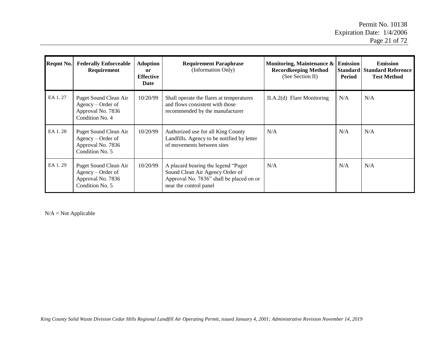$\overline{\phantom{a}}$ 

| Reqmt No. | <b>Federally Enforceable</b><br>Requirement                                          | <b>Adoption</b><br>or<br><b>Effective</b><br>Date | <b>Requirement Paraphrase</b><br>(Information Only)                                                                                           | Monitoring, Maintenance $\&$ Emission<br><b>Recordkeeping Method</b><br>(See Section II) | Period | <b>Emission</b><br><b>Standard Standard Reference</b><br><b>Test Method</b> |
|-----------|--------------------------------------------------------------------------------------|---------------------------------------------------|-----------------------------------------------------------------------------------------------------------------------------------------------|------------------------------------------------------------------------------------------|--------|-----------------------------------------------------------------------------|
| EA 1.27   | Puget Sound Clean Air<br>$Agency - Order of$<br>Approval No. 7836<br>Condition No. 4 | 10/20/99                                          | Shall operate the flares at temperatures<br>and flows consistent with those<br>recommended by the manufacturer                                | $II.A.2(d)$ Flare Monitoring                                                             | N/A    | N/A                                                                         |
| EA 1.28   | Puget Sound Clean Air<br>Agency – Order of<br>Approval No. 7836<br>Condition No. 5   | 10/20/99                                          | Authorized use for all King County<br>Landfills. Agency to be notified by letter<br>of movements between sites                                | N/A                                                                                      | N/A    | N/A                                                                         |
| EA 1.29   | Puget Sound Clean Air<br>Agency – Order of<br>Approval No. 7836<br>Condition No. 5   | 10/20/99                                          | A placard bearing the legend "Puget"<br>Sound Clean Air Agency Order of<br>Approval No. 7836" shall be placed on or<br>near the control panel | N/A                                                                                      | N/A    | N/A                                                                         |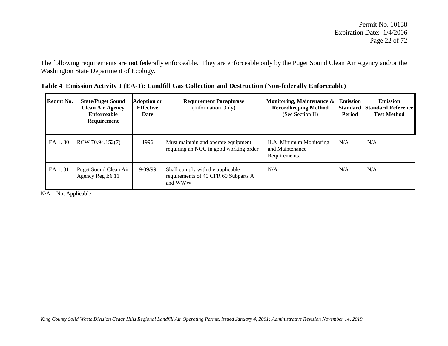The following requirements are **not** federally enforceable. They are enforceable only by the Puget Sound Clean Air Agency and/or the Washington State Department of Ecology.

| Reqmt No. | <b>State/Puget Sound</b><br><b>Clean Air Agency</b><br>Enforceable<br>Requirement | <b>Adoption or</b><br>Effective<br>Date | <b>Requirement Paraphrase</b><br>(Information Only)                                 | Monitoring, Maintenance &<br><b>Recordkeeping Method</b><br>(See Section II) | <b>Emission</b><br><b>Standard</b><br>Period | <b>Emission</b><br><b>Standard Reference</b><br><b>Test Method</b> |
|-----------|-----------------------------------------------------------------------------------|-----------------------------------------|-------------------------------------------------------------------------------------|------------------------------------------------------------------------------|----------------------------------------------|--------------------------------------------------------------------|
| EA 1.30   | RCW 70.94.152(7)                                                                  | 1996                                    | Must maintain and operate equipment<br>requiring an NOC in good working order       | <b>II.A</b> Minimum Monitoring<br>and Maintenance<br>Requirements.           | N/A                                          | N/A                                                                |
| EA 1.31   | Puget Sound Clean Air<br>Agency Reg I:6.11                                        | 9/09/99                                 | Shall comply with the applicable<br>requirements of 40 CFR 60 Subparts A<br>and WWW | N/A                                                                          | N/A                                          | N/A                                                                |

| Table 4 Emission Activity 1 (EA-1): Landfill Gas Collection and Destruction (Non-federally Enforceable) |  |  |  |
|---------------------------------------------------------------------------------------------------------|--|--|--|
|                                                                                                         |  |  |  |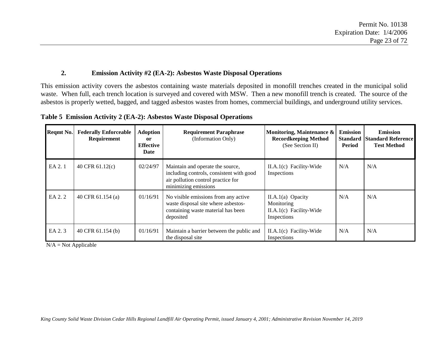#### **2. Emission Activity #2 (EA-2): Asbestos Waste Disposal Operations**

This emission activity covers the asbestos containing waste materials deposited in monofill trenches created in the municipal solid waste. When full, each trench location is surveyed and covered with MSW. Then a new monofill trench is created. The source of the asbestos is properly wetted, bagged, and tagged asbestos wastes from homes, commercial buildings, and underground utility services.

| Reqmt No. | <b>Federally Enforceable</b><br>Requirement | <b>Adoption</b><br>or<br><b>Effective</b><br>Date | <b>Requirement Paraphrase</b><br>(Information Only)                                                                                        | Monitoring, Maintenance &<br><b>Recordkeeping Method</b><br>(See Section II) | <b>Emission</b><br><b>Standard</b><br>Period | <b>Emission</b><br><b>Standard Reference</b><br><b>Test Method</b> |
|-----------|---------------------------------------------|---------------------------------------------------|--------------------------------------------------------------------------------------------------------------------------------------------|------------------------------------------------------------------------------|----------------------------------------------|--------------------------------------------------------------------|
| EA 2.1    | 40 CFR $61.12(c)$                           | 02/24/97                                          | Maintain and operate the source,<br>including controls, consistent with good<br>air pollution control practice for<br>minimizing emissions | II.A.1(c) Facility-Wide<br>Inspections                                       | N/A                                          | N/A                                                                |
| EA 2.2    | 40 CFR 61.154 (a)                           | 01/16/91                                          | No visible emissions from any active<br>waste disposal site where asbestos-<br>containing waste material has been<br>deposited             | $II.A.1(a)$ Opacity<br>Monitoring<br>II.A.1(c) Facility-Wide<br>Inspections  | N/A                                          | N/A                                                                |
| EA 2.3    | 40 CFR 61.154 (b)                           | 01/16/91                                          | Maintain a barrier between the public and<br>the disposal site                                                                             | $II.A.1(c)$ Facility-Wide<br>Inspections                                     | N/A                                          | N/A                                                                |

**Table 5 Emission Activity 2 (EA-2): Asbestos Waste Disposal Operations**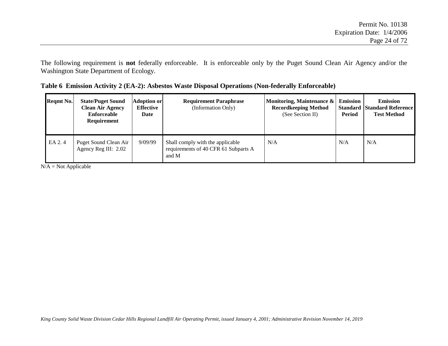The following requirement is **not** federally enforceable. It is enforceable only by the Puget Sound Clean Air Agency and/or the Washington State Department of Ecology.

|  |  | Table 6 Emission Activity 2 (EA-2): Asbestos Waste Disposal Operations (Non-federally Enforceable) |  |
|--|--|----------------------------------------------------------------------------------------------------|--|
|  |  |                                                                                                    |  |

| Regmt No. | <b>State/Puget Sound</b><br><b>Clean Air Agency</b><br>Enforceable<br><b>Requirement</b> | <b>Adoption or</b><br><b>Effective</b><br>Date | <b>Requirement Paraphrase</b><br>(Information Only)                               | Monitoring, Maintenance &<br><b>Recordkeeping Method</b><br>(See Section II) | <b>Emission</b><br>Period | <b>Emission</b><br><b>Standard Standard Reference</b><br><b>Test Method</b> |
|-----------|------------------------------------------------------------------------------------------|------------------------------------------------|-----------------------------------------------------------------------------------|------------------------------------------------------------------------------|---------------------------|-----------------------------------------------------------------------------|
| EA 2.4    | Puget Sound Clean Air<br>Agency Reg III: 2.02                                            | 9/09/99                                        | Shall comply with the applicable<br>requirements of 40 CFR 61 Subparts A<br>and M | N/A                                                                          | N/A                       | N/A                                                                         |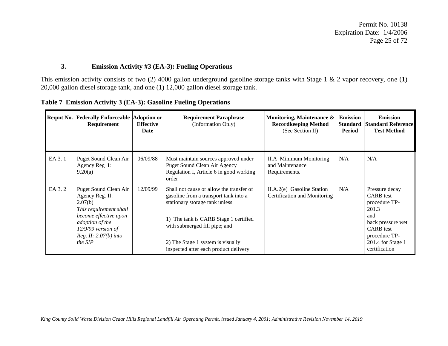#### **3. Emission Activity #3 (EA-3): Fueling Operations**

This emission activity consists of two (2) 4000 gallon underground gasoline storage tanks with Stage 1 & 2 vapor recovery, one (1) 20,000 gallon diesel storage tank, and one (1) 12,000 gallon diesel storage tank.

|        | Reqmt No. Federally Enforceable Adoption or<br>Requirement                                                                                                                              | <b>Effective</b><br>Date | <b>Requirement Paraphrase</b><br>(Information Only)                                                                                                                                                                                                                         | Monitoring, Maintenance &<br><b>Recordkeeping Method</b><br>(See Section II) | <b>Emission</b><br><b>Standard</b><br>Period | <b>Emission</b><br><b>Standard Reference</b><br><b>Test Method</b>                                                                                                  |
|--------|-----------------------------------------------------------------------------------------------------------------------------------------------------------------------------------------|--------------------------|-----------------------------------------------------------------------------------------------------------------------------------------------------------------------------------------------------------------------------------------------------------------------------|------------------------------------------------------------------------------|----------------------------------------------|---------------------------------------------------------------------------------------------------------------------------------------------------------------------|
| EA 3.1 | Puget Sound Clean Air<br>Agency Reg I:<br>9.20(a)                                                                                                                                       | 06/09/88                 | Must maintain sources approved under<br>Puget Sound Clean Air Agency<br>Regulation I, Article 6 in good working<br>order                                                                                                                                                    | II.A Minimum Monitoring<br>and Maintenance<br>Requirements.                  | N/A                                          | N/A                                                                                                                                                                 |
| EA 3.2 | Puget Sound Clean Air<br>Agency Reg. II:<br>2.07(b)<br>This requirement shall<br>become effective upon<br>adoption of the<br>$12/9/99$ version of<br>Reg. II: $2.07(b)$ into<br>the SIP | 12/09/99                 | Shall not cause or allow the transfer of<br>gasoline from a transport tank into a<br>stationary storage tank unless<br>1) The tank is CARB Stage 1 certified<br>with submerged fill pipe; and<br>2) The Stage 1 system is visually<br>inspected after each product delivery | II.A.2(e) Gasoline Station<br>Certification and Monitoring                   | N/A                                          | Pressure decay<br><b>CARB</b> test<br>procedure TP-<br>201.3<br>and<br>back pressure wet<br><b>CARB</b> test<br>procedure TP-<br>201.4 for Stage 1<br>certification |

**Table 7 Emission Activity 3 (EA-3): Gasoline Fueling Operations**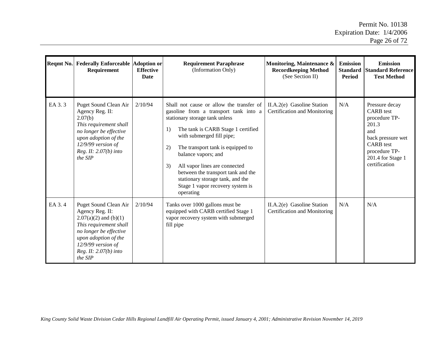| Reqmt No. | <b>Federally Enforceable Adoption or</b><br>Requirement                                                                                                                                                     | <b>Effective</b><br><b>Date</b> | <b>Requirement Paraphrase</b><br>(Information Only)                                                                                                                                                                                                                                                                                                                                                                              | Monitoring, Maintenance &<br><b>Recordkeeping Method</b><br>(See Section II) | <b>Emission</b><br><b>Standard</b><br>Period | <b>Emission</b><br><b>Standard Reference</b><br><b>Test Method</b>                                                                                                  |
|-----------|-------------------------------------------------------------------------------------------------------------------------------------------------------------------------------------------------------------|---------------------------------|----------------------------------------------------------------------------------------------------------------------------------------------------------------------------------------------------------------------------------------------------------------------------------------------------------------------------------------------------------------------------------------------------------------------------------|------------------------------------------------------------------------------|----------------------------------------------|---------------------------------------------------------------------------------------------------------------------------------------------------------------------|
| EA 3.3    | Puget Sound Clean Air<br>Agency Reg. II:<br>2.07(b)<br>This requirement shall<br>no longer be effective<br>upon adoption of the<br>$12/9/99$ version of<br>Reg. II: 2.07(b) into<br>the SIP                 | 2/10/94                         | Shall not cause or allow the transfer of<br>gasoline from a transport tank into a<br>stationary storage tank unless<br>The tank is CARB Stage 1 certified<br>1)<br>with submerged fill pipe;<br>2)<br>The transport tank is equipped to<br>balance vapors; and<br>3)<br>All vapor lines are connected<br>between the transport tank and the<br>stationary storage tank, and the<br>Stage 1 vapor recovery system is<br>operating | II.A.2(e) Gasoline Station<br>Certification and Monitoring                   | N/A                                          | Pressure decay<br><b>CARB</b> test<br>procedure TP-<br>201.3<br>and<br>back pressure wet<br><b>CARB</b> test<br>procedure TP-<br>201.4 for Stage 1<br>certification |
| EA 3.4    | Puget Sound Clean Air<br>Agency Reg. II:<br>$2.07(a)(2)$ and (b)(1)<br>This requirement shall<br>no longer be effective<br>upon adoption of the<br>$12/9/99$ version of<br>Reg. II: 2.07(b) into<br>the SIP | 2/10/94                         | Tanks over 1000 gallons must be<br>equipped with CARB certified Stage 1<br>vapor recovery system with submerged<br>fill pipe                                                                                                                                                                                                                                                                                                     | II.A.2(e) Gasoline Station<br>Certification and Monitoring                   | N/A                                          | N/A                                                                                                                                                                 |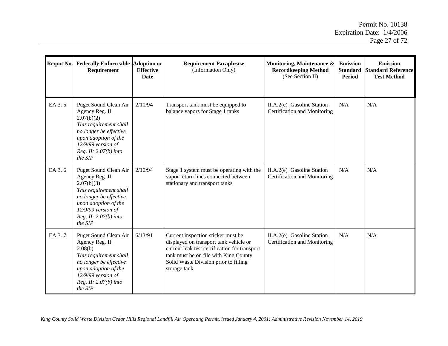| Reqmt No. | <b>Federally Enforceable Adoption or</b><br>Requirement                                                                                                                                        | <b>Effective</b><br><b>Date</b> | <b>Requirement Paraphrase</b><br>(Information Only)                                                                                                                                                                             | Monitoring, Maintenance &<br><b>Recordkeeping Method</b><br>(See Section II) | <b>Emission</b><br><b>Standard</b><br><b>Period</b> | <b>Emission</b><br><b>Standard Reference</b><br><b>Test Method</b> |
|-----------|------------------------------------------------------------------------------------------------------------------------------------------------------------------------------------------------|---------------------------------|---------------------------------------------------------------------------------------------------------------------------------------------------------------------------------------------------------------------------------|------------------------------------------------------------------------------|-----------------------------------------------------|--------------------------------------------------------------------|
| EA 3.5    | Puget Sound Clean Air<br>Agency Reg. II:<br>2.07(b)(2)<br>This requirement shall<br>no longer be effective<br>upon adoption of the<br>$12/9/99$ version of<br>Reg. II: 2.07(b) into<br>the SIP | 2/10/94                         | Transport tank must be equipped to<br>balance vapors for Stage 1 tanks                                                                                                                                                          | II.A.2(e) Gasoline Station<br>Certification and Monitoring                   | N/A                                                 | N/A                                                                |
| EA 3.6    | Puget Sound Clean Air<br>Agency Reg. II:<br>2.07(b)(3)<br>This requirement shall<br>no longer be effective<br>upon adoption of the<br>$12/9/99$ version of<br>Reg. II: 2.07(b) into<br>the SIP | 2/10/94                         | Stage 1 system must be operating with the<br>vapor return lines connected between<br>stationary and transport tanks                                                                                                             | II.A.2(e) Gasoline Station<br>Certification and Monitoring                   | N/A                                                 | N/A                                                                |
| EA 3.7    | Puget Sound Clean Air<br>Agency Reg. II:<br>2.08(b)<br>This requirement shall<br>no longer be effective<br>upon adoption of the<br>$12/9/99$ version of<br>Reg. II: 2.07(b) into<br>the SIP    | 6/13/91                         | Current inspection sticker must be<br>displayed on transport tank vehicle or<br>current leak test certification for transport<br>tank must be on file with King County<br>Solid Waste Division prior to filling<br>storage tank | II.A.2(e) Gasoline Station<br>Certification and Monitoring                   | N/A                                                 | N/A                                                                |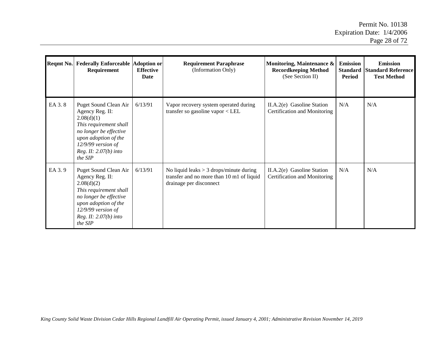| <b>Reqmt No.</b> | <b>Federally Enforceable Adoption or</b><br>Requirement                                                                                                                                          | <b>Effective</b><br>Date | <b>Requirement Paraphrase</b><br>(Information Only)                                                               | Monitoring, Maintenance &<br><b>Recordkeeping Method</b><br>(See Section II) | <b>Emission</b><br><b>Standard</b><br>Period | <b>Emission</b><br><b>Standard Reference</b><br><b>Test Method</b> |
|------------------|--------------------------------------------------------------------------------------------------------------------------------------------------------------------------------------------------|--------------------------|-------------------------------------------------------------------------------------------------------------------|------------------------------------------------------------------------------|----------------------------------------------|--------------------------------------------------------------------|
| EA 3.8           | Puget Sound Clean Air<br>Agency Reg. II:<br>2.08(d)(1)<br>This requirement shall<br>no longer be effective<br>upon adoption of the<br>$12/9/99$ version of<br>Reg. II: 2.07(b) into<br>the SIP   | 6/13/91                  | Vapor recovery system operated during<br>transfer so gasoline vapor < LEL                                         | II.A.2(e) Gasoline Station<br>Certification and Monitoring                   | N/A                                          | N/A                                                                |
| EA 3.9           | Puget Sound Clean Air<br>Agency Reg. II:<br>2.08(d)(2)<br>This requirement shall<br>no longer be effective<br>upon adoption of the<br>$12/9/99$ version of<br>Reg. II: $2.07(b)$ into<br>the SIP | 6/13/91                  | No liquid leaks $> 3$ drops/minute during<br>transfer and no more than 10 m1 of liquid<br>drainage per disconnect | II.A.2(e) Gasoline Station<br>Certification and Monitoring                   | N/A                                          | N/A                                                                |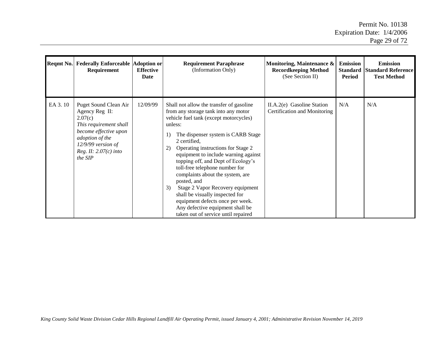| Reqmt No. | <b>Federally Enforceable Adoption or</b><br>Requirement                                                                                                                                | <b>Effective</b><br>Date | <b>Requirement Paraphrase</b><br>(Information Only)                                                                                                                                                                                                                                                                                                                                                                                                                                                                                                                                                          | Monitoring, Maintenance &<br><b>Recordkeeping Method</b><br>(See Section II) | <b>Emission</b><br><b>Standard</b><br><b>Period</b> | <b>Emission</b><br><b>Standard Reference</b><br><b>Test Method</b> |
|-----------|----------------------------------------------------------------------------------------------------------------------------------------------------------------------------------------|--------------------------|--------------------------------------------------------------------------------------------------------------------------------------------------------------------------------------------------------------------------------------------------------------------------------------------------------------------------------------------------------------------------------------------------------------------------------------------------------------------------------------------------------------------------------------------------------------------------------------------------------------|------------------------------------------------------------------------------|-----------------------------------------------------|--------------------------------------------------------------------|
| EA 3.10   | Puget Sound Clean Air<br>Agency Reg II:<br>2.07(c)<br>This requirement shall<br>become effective upon<br>adoption of the<br>$12/9/99$ version of<br>Reg. II: $2.07(c)$ into<br>the SIP | 12/09/99                 | Shall not allow the transfer of gasoline<br>from any storage tank into any motor<br>vehicle fuel tank (except motorcycles)<br>unless:<br>The dispenser system is CARB Stage<br>1)<br>2 certified,<br>Operating instructions for Stage 2<br>2)<br>equipment to include warning against<br>topping off, and Dept of Ecology's<br>toll-free telephone number for<br>complaints about the system, are<br>posted, and<br>Stage 2 Vapor Recovery equipment<br>3)<br>shall be visually inspected for<br>equipment defects once per week.<br>Any defective equipment shall be<br>taken out of service until repaired | II.A.2(e) Gasoline Station<br>Certification and Monitoring                   | N/A                                                 | N/A                                                                |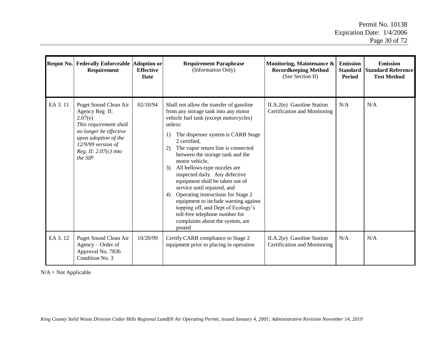|         | Reqmt No. Federally Enforceable Adoption or<br><b>Requirement</b>                                                                                                                            | <b>Effective</b><br><b>Date</b> | <b>Requirement Paraphrase</b><br>(Information Only)                                                                                                                                                                                                                                                                                                                                                                                                                                                                                                                                                                                                     | Monitoring, Maintenance &<br><b>Recordkeeping Method</b><br>(See Section II) | <b>Emission</b><br><b>Standard</b><br>Period | <b>Emission</b><br><b>Standard Reference</b><br><b>Test Method</b> |
|---------|----------------------------------------------------------------------------------------------------------------------------------------------------------------------------------------------|---------------------------------|---------------------------------------------------------------------------------------------------------------------------------------------------------------------------------------------------------------------------------------------------------------------------------------------------------------------------------------------------------------------------------------------------------------------------------------------------------------------------------------------------------------------------------------------------------------------------------------------------------------------------------------------------------|------------------------------------------------------------------------------|----------------------------------------------|--------------------------------------------------------------------|
| EA 3.11 | Puget Sound Clean Air<br>Agency Reg II:<br>2.07(e)<br>This requirement shall<br>no longer be effective<br>upon adoption of the<br>$12/9/99$ version of<br>Reg. II: $2.07(c)$ into<br>the SIP | 02/10/94                        | Shall not allow the transfer of gasoline<br>from any storage tank into any motor<br>vehicle fuel tank (except motorcycles)<br>unless:<br>The dispenser system is CARB Stage<br>1)<br>2 certified,<br>The vapor return line is connected<br>2)<br>between the storage tank and the<br>motor vehicle,<br>All bellows-type nozzles are<br>3)<br>inspected daily. Any defective<br>equipment shall be taken out of<br>service until repaired, and<br>Operating instructions for Stage 2<br>4)<br>equipment to include warning against<br>topping off, and Dept of Ecology's<br>toll-free telephone number for<br>complaints about the system, are<br>posted | II.A.2(e) Gasoline Station<br>Certification and Monitoring                   | N/A                                          | N/A                                                                |
| EA 3.12 | Puget Sound Clean Air<br>Agency – Order of<br>Approval No. 7836<br>Condition No. 3                                                                                                           | 10/20/99                        | Certify CARB compliance to Stage 2<br>equipment prior to placing in operation                                                                                                                                                                                                                                                                                                                                                                                                                                                                                                                                                                           | II.A.2(e) Gasoline Station<br>Certification and Monitoring                   | N/A                                          | N/A                                                                |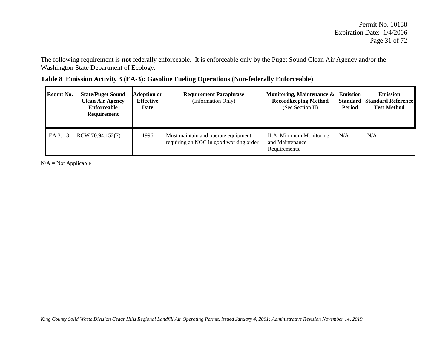The following requirement is **not** federally enforceable. It is enforceable only by the Puget Sound Clean Air Agency and/or the Washington State Department of Ecology.

|  | Table 8 Emission Activity 3 (EA-3): Gasoline Fueling Operations (Non-federally Enforceable) |  |
|--|---------------------------------------------------------------------------------------------|--|
|  |                                                                                             |  |

| <b>Reqmt No.</b> | <b>State/Puget Sound</b><br><b>Clean Air Agency</b><br>Enforceable<br><b>Requirement</b> | <b>Adoption or</b><br>Effective<br>Date | <b>Requirement Paraphrase</b><br>(Information Only)                           | Monitoring, Maintenance &<br><b>Recordkeeping Method</b><br>(See Section II) | <b>Emission</b><br><b>Standard</b><br>Period | <b>Emission</b><br><b>Standard Reference</b><br><b>Test Method</b> |
|------------------|------------------------------------------------------------------------------------------|-----------------------------------------|-------------------------------------------------------------------------------|------------------------------------------------------------------------------|----------------------------------------------|--------------------------------------------------------------------|
| EA 3.13          | RCW 70.94.152(7)                                                                         | 1996                                    | Must maintain and operate equipment<br>requiring an NOC in good working order | <b>II.A</b> Minimum Monitoring<br>and Maintenance<br>Requirements.           | N/A                                          | N/A                                                                |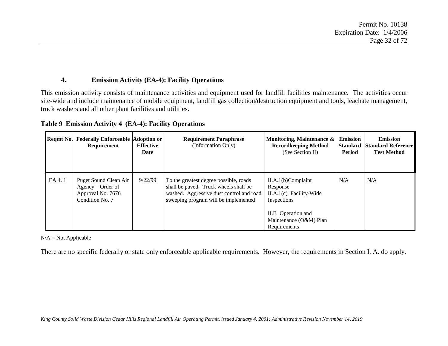#### **4. Emission Activity (EA-4): Facility Operations**

This emission activity consists of maintenance activities and equipment used for landfill facilities maintenance. The activities occur site-wide and include maintenance of mobile equipment, landfill gas collection/destruction equipment and tools, leachate management, truck washers and all other plant facilities and utilities.

| Regmt No. | <b>Federally Enforceable Adoption or</b><br>Requirement                            | <b>Effective</b><br>Date | <b>Requirement Paraphrase</b><br>(Information Only)                                                                                                                 | Monitoring, Maintenance &<br><b>Recordkeeping Method</b><br>(See Section II) | <b>Emission</b><br><b>Standard</b><br>Period | <b>Emission</b><br><b>Standard Reference</b><br><b>Test Method</b> |
|-----------|------------------------------------------------------------------------------------|--------------------------|---------------------------------------------------------------------------------------------------------------------------------------------------------------------|------------------------------------------------------------------------------|----------------------------------------------|--------------------------------------------------------------------|
| EA 4.1    | Puget Sound Clean Air<br>Agency – Order of<br>Approval No. 7676<br>Condition No. 7 | 9/22/99                  | To the greatest degree possible, roads<br>shall be paved. Truck wheels shall be<br>washed. Aggressive dust control and road<br>sweeping program will be implemented | $II.A.1(b)$ Complaint<br>Response<br>II.A.1(c) Facility-Wide<br>Inspections  | N/A                                          | N/A                                                                |
|           |                                                                                    |                          |                                                                                                                                                                     | II.B Operation and<br>Maintenance (O&M) Plan<br>Requirements                 |                                              |                                                                    |

### **Table 9 Emission Activity 4 (EA-4): Facility Operations**

 $N/A = Not$  Applicable

There are no specific federally or state only enforceable applicable requirements. However, the requirements in Section I. A. do apply.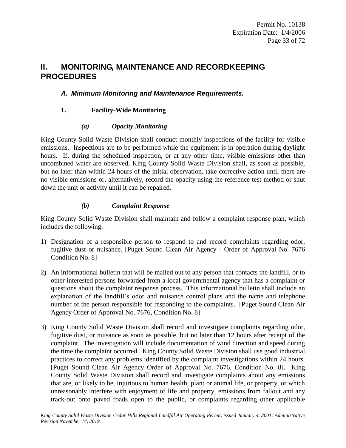# <span id="page-32-2"></span><span id="page-32-0"></span>**II. MONITORING, MAINTENANCE AND RECORDKEEPING PROCEDURES**

# <span id="page-32-1"></span>*A. Minimum Monitoring and Maintenance Requirements.*

## **1. Facility-Wide Monitoring**

### *(a) Opacity Monitoring*

King County Solid Waste Division shall conduct monthly inspections of the facility for visible emissions. Inspections are to be performed while the equipment is in operation during daylight hours. If, during the scheduled inspection, or at any other time, visible emissions other than uncombined water are observed, King County Solid Waste Division shall, as soon as possible, but no later than within 24 hours of the initial observation, take corrective action until there are no visible emissions or, alternatively, record the opacity using the reference test method or shut down the unit or activity until it can be repaired.

## *(b) Complaint Response*

King County Solid Waste Division shall maintain and follow a complaint response plan, which includes the following:

- 1) Designation of a responsible person to respond to and record complaints regarding odor, fugitive dust or nuisance. [Puget Sound Clean Air Agency - Order of Approval No. 7676 Condition No. 8]
- 2) An informational bulletin that will be mailed out to any person that contacts the landfill, or to other interested persons forwarded from a local governmental agency that has a complaint or questions about the complaint response process. This informational bulletin shall include an explanation of the landfill's odor and nuisance control plans and the name and telephone number of the person responsible for responding to the complaints. [Puget Sound Clean Air Agency Order of Approval No. 7676, Condition No. 8]
- 3) King County Solid Waste Division shall record and investigate complaints regarding odor, fugitive dust, or nuisance as soon as possible, but no later than 12 hours after receipt of the complaint. The investigation will include documentation of wind direction and speed during the time the complaint occurred. King County Solid Waste Division shall use good industrial practices to correct any problems identified by the complaint investigations within 24 hours. [Puget Sound Clean Air Agency Order of Approval No. 7676, Condition No. 8]. King County Solid Waste Division shall record and investigate complaints about any emissions that are, or likely to be, injurious to human health, plant or animal life, or property, or which unreasonably interfere with enjoyment of life and property, emissions from fallout and any track-out onto paved roads open to the public, or complaints regarding other applicable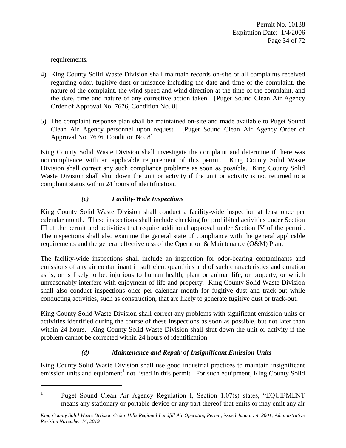requirements.

 $\overline{a}$ 

- <span id="page-33-0"></span>4) King County Solid Waste Division shall maintain records on-site of all complaints received regarding odor, fugitive dust or nuisance including the date and time of the complaint, the nature of the complaint, the wind speed and wind direction at the time of the complaint, and the date, time and nature of any corrective action taken. [Puget Sound Clean Air Agency Order of Approval No. 7676, Condition No. 8]
- 5) The complaint response plan shall be maintained on-site and made available to Puget Sound Clean Air Agency personnel upon request. [Puget Sound Clean Air Agency Order of Approval No. 7676, Condition No. 8]

King County Solid Waste Division shall investigate the complaint and determine if there was noncompliance with an applicable requirement of this permit. King County Solid Waste Division shall correct any such compliance problems as soon as possible. King County Solid Waste Division shall shut down the unit or activity if the unit or activity is not returned to a compliant status within 24 hours of identification.

# *(c) Facility-Wide Inspections*

King County Solid Waste Division shall conduct a facility-wide inspection at least once per calendar month. These inspections shall include checking for prohibited activities under Section III of the permit and activities that require additional approval under Section IV of the permit. The inspections shall also examine the general state of compliance with the general applicable requirements and the general effectiveness of the Operation & Maintenance (O&M) Plan.

<span id="page-33-1"></span>The facility-wide inspections shall include an inspection for odor-bearing contaminants and emissions of any air contaminant in sufficient quantities and of such characteristics and duration as is, or is likely to be, injurious to human health, plant or animal life, or property, or which unreasonably interfere with enjoyment of life and property. King County Solid Waste Division shall also conduct inspections once per calendar month for fugitive dust and track-out while conducting activities, such as construction, that are likely to generate fugitive dust or track-out.

King County Solid Waste Division shall correct any problems with significant emission units or activities identified during the course of these inspections as soon as possible, but not later than within 24 hours. King County Solid Waste Division shall shut down the unit or activity if the problem cannot be corrected within 24 hours of identification.

# *(d) Maintenance and Repair of Insignificant Emission Units*

King County Solid Waste Division shall use good industrial practices to maintain insignificant emission units and equipment<sup>1</sup> not listed in this permit. For such equipment, King County Solid

<sup>1</sup> Puget Sound Clean Air Agency Regulation I, Section 1.07(s) states, "EQUIPMENT means any stationary or portable device or any part thereof that emits or may emit any air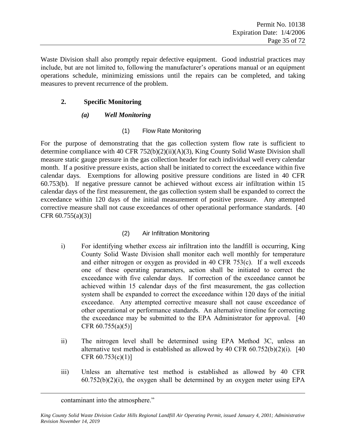<span id="page-34-0"></span>Waste Division shall also promptly repair defective equipment. Good industrial practices may include, but are not limited to, following the manufacturer's operations manual or an equipment operations schedule, minimizing emissions until the repairs can be completed, and taking measures to prevent recurrence of the problem.

### **2. Specific Monitoring**

## *(a) Well Monitoring*

# (1) Flow Rate Monitoring

<span id="page-34-1"></span>For the purpose of demonstrating that the gas collection system flow rate is sufficient to determine compliance with 40 CFR 752(b)(2)(ii)(A)(3), King County Solid Waste Division shall measure static gauge pressure in the gas collection header for each individual well every calendar month. If a positive pressure exists, action shall be initiated to correct the exceedance within five calendar days. Exemptions for allowing positive pressure conditions are listed in 40 CFR 60.753(b). If negative pressure cannot be achieved without excess air infiltration within 15 calendar days of the first measurement, the gas collection system shall be expanded to correct the exceedance within 120 days of the initial measurement of positive pressure. Any attempted corrective measure shall not cause exceedances of other operational performance standards. [40 CFR  $60.755(a)(3)$ ]

# (2) Air Infiltration Monitoring

- i) For identifying whether excess air infiltration into the landfill is occurring, King County Solid Waste Division shall monitor each well monthly for temperature and either nitrogen or oxygen as provided in 40 CFR 753(c). If a well exceeds one of these operating parameters, action shall be initiated to correct the exceedance with five calendar days. If correction of the exceedance cannot be achieved within 15 calendar days of the first measurement, the gas collection system shall be expanded to correct the exceedance within 120 days of the initial exceedance. Any attempted corrective measure shall not cause exceedance of other operational or performance standards. An alternative timeline for correcting the exceedance may be submitted to the EPA Administrator for approval. [40 CFR  $60.755(a)(5)$ ]
- ii) The nitrogen level shall be determined using EPA Method 3C, unless an alternative test method is established as allowed by 40 CFR  $60.752(b)(2)(i)$ . [40] CFR  $60.753(c)(1)$ ]
- iii) Unless an alternative test method is established as allowed by 40 CFR  $60.752(b)(2)(i)$ , the oxygen shall be determined by an oxygen meter using EPA

 $\overline{a}$ 

contaminant into the atmosphere."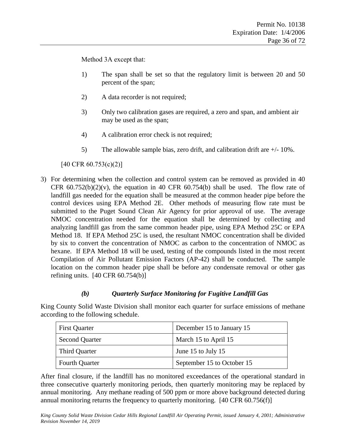Method 3A except that:

- 1) The span shall be set so that the regulatory limit is between 20 and 50 percent of the span;
- 2) A data recorder is not required;
- 3) Only two calibration gases are required, a zero and span, and ambient air may be used as the span;
- 4) A calibration error check is not required;
- 5) The allowable sample bias, zero drift, and calibration drift are +/- 10%.

[40 CFR 60.753(c)(2)]

<span id="page-35-0"></span>3) For determining when the collection and control system can be removed as provided in 40 CFR  $60.752(b)(2)(v)$ , the equation in 40 CFR  $60.754(b)$  shall be used. The flow rate of landfill gas needed for the equation shall be measured at the common header pipe before the control devices using EPA Method 2E. Other methods of measuring flow rate must be submitted to the Puget Sound Clean Air Agency for prior approval of use. The average NMOC concentration needed for the equation shall be determined by collecting and analyzing landfill gas from the same common header pipe, using EPA Method 25C or EPA Method 18. If EPA Method 25C is used, the resultant NMOC concentration shall be divided by six to convert the concentration of NMOC as carbon to the concentration of NMOC as hexane. If EPA Method 18 will be used, testing of the compounds listed in the most recent Compilation of Air Pollutant Emission Factors (AP-42) shall be conducted. The sample location on the common header pipe shall be before any condensate removal or other gas refining units.  $[40 \text{ CFR } 60.754(b)]$ 

### *(b) Quarterly Surface Monitoring for Fugitive Landfill Gas*

King County Solid Waste Division shall monitor each quarter for surface emissions of methane according to the following schedule.

| <b>First Quarter</b>  | December 15 to January 15  |  |
|-----------------------|----------------------------|--|
| <b>Second Quarter</b> | March 15 to April 15       |  |
| Third Quarter         | June 15 to July 15         |  |
| <b>Fourth Quarter</b> | September 15 to October 15 |  |

After final closure, if the landfill has no monitored exceedances of the operational standard in three consecutive quarterly monitoring periods, then quarterly monitoring may be replaced by annual monitoring. Any methane reading of 500 ppm or more above background detected during annual monitoring returns the frequency to quarterly monitoring. [40 CFR 60.756(f)]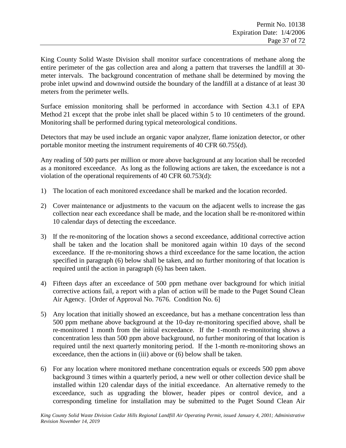King County Solid Waste Division shall monitor surface concentrations of methane along the entire perimeter of the gas collection area and along a pattern that traverses the landfill at 30 meter intervals. The background concentration of methane shall be determined by moving the probe inlet upwind and downwind outside the boundary of the landfill at a distance of at least 30 meters from the perimeter wells.

Surface emission monitoring shall be performed in accordance with Section 4.3.1 of EPA Method 21 except that the probe inlet shall be placed within 5 to 10 centimeters of the ground. Monitoring shall be performed during typical meteorological conditions.

Detectors that may be used include an organic vapor analyzer, flame ionization detector, or other portable monitor meeting the instrument requirements of 40 CFR 60.755(d).

Any reading of 500 parts per million or more above background at any location shall be recorded as a monitored exceedance. As long as the following actions are taken, the exceedance is not a violation of the operational requirements of 40 CFR 60.753(d):

- 1) The location of each monitored exceedance shall be marked and the location recorded.
- 2) Cover maintenance or adjustments to the vacuum on the adjacent wells to increase the gas collection near each exceedance shall be made, and the location shall be re-monitored within 10 calendar days of detecting the exceedance.
- 3) If the re-monitoring of the location shows a second exceedance, additional corrective action shall be taken and the location shall be monitored again within 10 days of the second exceedance. If the re-monitoring shows a third exceedance for the same location, the action specified in paragraph (6) below shall be taken, and no further monitoring of that location is required until the action in paragraph (6) has been taken.
- 4) Fifteen days after an exceedance of 500 ppm methane over background for which initial corrective actions fail, a report with a plan of action will be made to the Puget Sound Clean Air Agency. [Order of Approval No. 7676. Condition No. 6]
- 5) Any location that initially showed an exceedance, but has a methane concentration less than 500 ppm methane above background at the 10-day re-monitoring specified above, shall be re-monitored 1 month from the initial exceedance. If the 1-month re-monitoring shows a concentration less than 500 ppm above background, no further monitoring of that location is required until the next quarterly monitoring period. If the 1-month re-monitoring shows an exceedance, then the actions in (iii) above or (6) below shall be taken.
- 6) For any location where monitored methane concentration equals or exceeds 500 ppm above background 3 times within a quarterly period, a new well or other collection device shall be installed within 120 calendar days of the initial exceedance. An alternative remedy to the exceedance, such as upgrading the blower, header pipes or control device, and a corresponding timeline for installation may be submitted to the Puget Sound Clean Air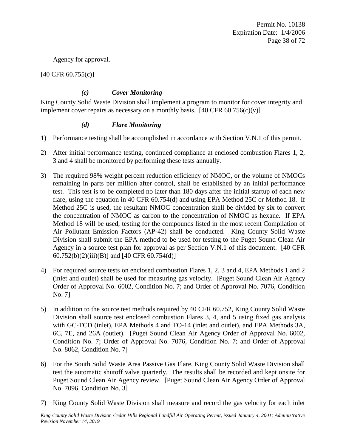Agency for approval.

[40 CFR 60.755(c)]

#### *(c) Cover Monitoring*

King County Solid Waste Division shall implement a program to monitor for cover integrity and implement cover repairs as necessary on a monthly basis.  $[40 \text{ CFR } 60.756(c)(v)]$ 

#### *(d) Flare Monitoring*

- 1) Performance testing shall be accomplished in accordance with Section V.N.1 of this permit.
- 2) After initial performance testing, continued compliance at enclosed combustion Flares 1, 2, 3 and 4 shall be monitored by performing these tests annually.
- 3) The required 98% weight percent reduction efficiency of NMOC, or the volume of NMOCs remaining in parts per million after control, shall be established by an initial performance test. This test is to be completed no later than 180 days after the initial startup of each new flare, using the equation in 40 CFR 60.754(d) and using EPA Method 25C or Method 18. If Method 25C is used, the resultant NMOC concentration shall be divided by six to convert the concentration of NMOC as carbon to the concentration of NMOC as hexane. If EPA Method 18 will be used, testing for the compounds listed in the most recent Compilation of Air Pollutant Emission Factors (AP-42) shall be conducted. King County Solid Waste Division shall submit the EPA method to be used for testing to the Puget Sound Clean Air Agency in a source test plan for approval as per Section V.N.1 of this document. [40 CFR  $60.752(b)(2)(iii)(B)$ ] and [40 CFR 60.754(d)]
- 4) For required source tests on enclosed combustion Flares 1, 2, 3 and 4, EPA Methods 1 and 2 (inlet and outlet) shall be used for measuring gas velocity. [Puget Sound Clean Air Agency Order of Approval No. 6002, Condition No. 7; and Order of Approval No. 7076, Condition No. 7]
- 5) In addition to the source test methods required by 40 CFR 60.752, King County Solid Waste Division shall source test enclosed combustion Flares 3, 4, and 5 using fixed gas analysis with GC-TCD (inlet), EPA Methods 4 and TO-14 (inlet and outlet), and EPA Methods 3A, 6C, 7E, and 26A (outlet). [Puget Sound Clean Air Agency Order of Approval No. 6002, Condition No. 7; Order of Approval No. 7076, Condition No. 7; and Order of Approval No. 8062, Condition No. 7]
- 6) For the South Solid Waste Area Passive Gas Flare, King County Solid Waste Division shall test the automatic shutoff valve quarterly. The results shall be recorded and kept onsite for Puget Sound Clean Air Agency review. [Puget Sound Clean Air Agency Order of Approval No. 7096, Condition No. 3]
- 7) King County Solid Waste Division shall measure and record the gas velocity for each inlet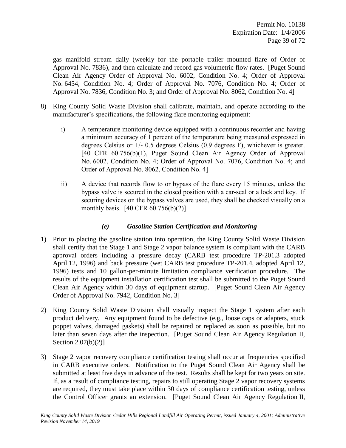gas manifold stream daily (weekly for the portable trailer mounted flare of Order of Approval No. 7836), and then calculate and record gas volumetric flow rates. [Puget Sound Clean Air Agency Order of Approval No. 6002, Condition No. 4; Order of Approval No. 6454, Condition No. 4; Order of Approval No. 7076, Condition No. 4; Order of Approval No. 7836, Condition No. 3; and Order of Approval No. 8062, Condition No. 4]

- 8) King County Solid Waste Division shall calibrate, maintain, and operate according to the manufacturer's specifications, the following flare monitoring equipment:
	- i) A temperature monitoring device equipped with a continuous recorder and having a minimum accuracy of 1 percent of the temperature being measured expressed in degrees Celsius or +/- 0.5 degrees Celsius (0.9 degrees F), whichever is greater. [40 CFR 60.756(b)(1), Puget Sound Clean Air Agency Order of Approval No. 6002, Condition No. 4; Order of Approval No. 7076, Condition No. 4; and Order of Approval No. 8062, Condition No. 4]
	- ii) A device that records flow to or bypass of the flare every 15 minutes, unless the bypass valve is secured in the closed position with a car-seal or a lock and key. If securing devices on the bypass valves are used, they shall be checked visually on a monthly basis. [40 CFR 60.756(b)(2)]

#### *(e) Gasoline Station Certification and Monitoring*

- 1) Prior to placing the gasoline station into operation, the King County Solid Waste Division shall certify that the Stage 1 and Stage 2 vapor balance system is compliant with the CARB approval orders including a pressure decay (CARB test procedure TP-201.3 adopted April 12, 1996) and back pressure (wet CARB test procedure TP-201.4, adopted April 12, 1996) tests and 10 gallon-per-minute limitation compliance verification procedure. The results of the equipment installation certification test shall be submitted to the Puget Sound Clean Air Agency within 30 days of equipment startup. [Puget Sound Clean Air Agency Order of Approval No. 7942, Condition No. 3]
- 2) King County Solid Waste Division shall visually inspect the Stage 1 system after each product delivery. Any equipment found to be defective (e.g., loose caps or adapters, stuck poppet valves, damaged gaskets) shall be repaired or replaced as soon as possible, but no later than seven days after the inspection. [Puget Sound Clean Air Agency Regulation II, Section 2.07(b)(2)]
- 3) Stage 2 vapor recovery compliance certification testing shall occur at frequencies specified in CARB executive orders. Notification to the Puget Sound Clean Air Agency shall be submitted at least five days in advance of the test. Results shall be kept for two years on site. If, as a result of compliance testing, repairs to still operating Stage 2 vapor recovery systems are required, they must take place within 30 days of compliance certification testing, unless the Control Officer grants an extension. [Puget Sound Clean Air Agency Regulation II,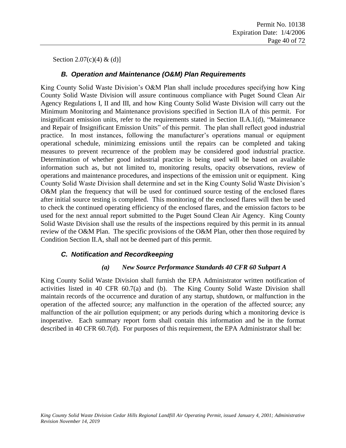Section 2.07(c)(4) & (d)]

#### *B. Operation and Maintenance (O&M) Plan Requirements*

King County Solid Waste Division's O&M Plan shall include procedures specifying how King County Solid Waste Division will assure continuous compliance with Puget Sound Clean Air Agency Regulations I, II and III, and how King County Solid Waste Division will carry out the Minimum Monitoring and Maintenance provisions specified in Section II.A of this permit. For insignificant emission units, refer to the requirements stated in Section [II.A.1\(d\),](#page-33-0) ["Maintenance](#page-33-0)  [and Repair of Insignificant Emission Units"](#page-33-0) of this permit. The plan shall reflect good industrial practice. In most instances, following the manufacturer's operations manual or equipment operational schedule, minimizing emissions until the repairs can be completed and taking measures to prevent recurrence of the problem may be considered good industrial practice. Determination of whether good industrial practice is being used will be based on available information such as, but not limited to, monitoring results, opacity observations, review of operations and maintenance procedures, and inspections of the emission unit or equipment. King County Solid Waste Division shall determine and set in the King County Solid Waste Division's O&M plan the frequency that will be used for continued source testing of the enclosed flares after initial source testing is completed. This monitoring of the enclosed flares will then be used to check the continued operating efficiency of the enclosed flares, and the emission factors to be used for the next annual report submitted to the Puget Sound Clean Air Agency. King County Solid Waste Division shall use the results of the inspections required by this permit in its annual review of the O&M Plan. The specific provisions of the O&M Plan, other then those required by Condition Section II.A, shall not be deemed part of this permit.

#### *C. Notification and Recordkeeping*

#### *(a) New Source Performance Standards 40 CFR 60 Subpart A*

King County Solid Waste Division shall furnish the EPA Administrator written notification of activities listed in 40 CFR 60.7(a) and (b). The King County Solid Waste Division shall maintain records of the occurrence and duration of any startup, shutdown, or malfunction in the operation of the affected source; any malfunction in the operation of the affected source; any malfunction of the air pollution equipment; or any periods during which a monitoring device is inoperative. Each summary report form shall contain this information and be in the format described in 40 CFR 60.7(d). For purposes of this requirement, the EPA Administrator shall be: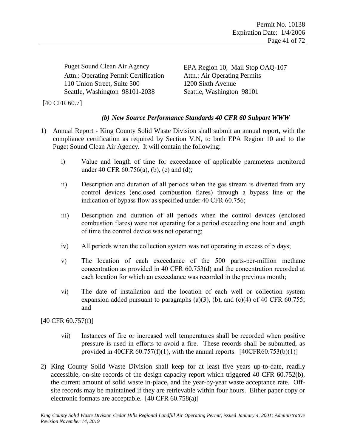Attn.: Operating Permit Certification Attn.: Air Operating Permits 110 Union Street, Suite 500 1200 Sixth Avenue Seattle, Washington 98101-2038 Seattle, Washington 98101

Puget Sound Clean Air Agency EPA Region 10, Mail Stop OAQ-107

[40 CFR 60.7]

### *(b) New Source Performance Standards 40 CFR 60 Subpart WWW*

- 1) Annual Report King County Solid Waste Division shall submit an annual report, with the compliance certification as required by Section V.N, to both EPA Region 10 and to the Puget Sound Clean Air Agency. It will contain the following:
	- i) Value and length of time for exceedance of applicable parameters monitored under 40 CFR 60.756(a), (b), (c) and (d);
	- ii) Description and duration of all periods when the gas stream is diverted from any control devices (enclosed combustion flares) through a bypass line or the indication of bypass flow as specified under 40 CFR 60.756;
	- iii) Description and duration of all periods when the control devices (enclosed combustion flares) were not operating for a period exceeding one hour and length of time the control device was not operating;
	- iv) All periods when the collection system was not operating in excess of 5 days;
	- v) The location of each exceedance of the 500 parts-per-million methane concentration as provided in 40 CFR 60.753(d) and the concentration recorded at each location for which an exceedance was recorded in the previous month;
	- vi) The date of installation and the location of each well or collection system expansion added pursuant to paragraphs (a)(3), (b), and (c)(4) of 40 CFR 60.755; and

[40 CFR 60.757(f)]

- vii) Instances of fire or increased well temperatures shall be recorded when positive pressure is used in efforts to avoid a fire. These records shall be submitted, as provided in 40CFR  $60.757(f)(1)$ , with the annual reports.  $[40CFR60.753(b)(1)]$
- 2) King County Solid Waste Division shall keep for at least five years up-to-date, readily accessible, on-site records of the design capacity report which triggered 40 CFR 60.752(b), the current amount of solid waste in-place, and the year-by-year waste acceptance rate. Offsite records may be maintained if they are retrievable within four hours. Either paper copy or electronic formats are acceptable. [40 CFR 60.758(a)]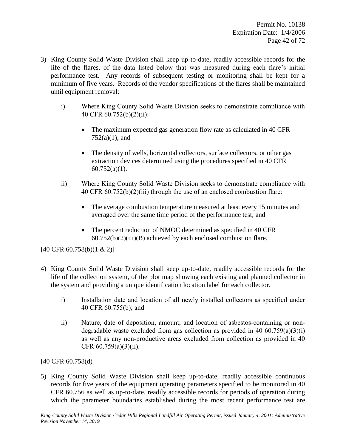- 3) King County Solid Waste Division shall keep up-to-date, readily accessible records for the life of the flares, of the data listed below that was measured during each flare's initial performance test. Any records of subsequent testing or monitoring shall be kept for a minimum of five years. Records of the vendor specifications of the flares shall be maintained until equipment removal:
	- i) Where King County Solid Waste Division seeks to demonstrate compliance with 40 CFR 60.752(b)(2)(ii):
		- The maximum expected gas generation flow rate as calculated in 40 CFR 752(a)(1); and
		- The density of wells, horizontal collectors, surface collectors, or other gas extraction devices determined using the procedures specified in 40 CFR  $60.752(a)(1)$ .
	- ii) Where King County Solid Waste Division seeks to demonstrate compliance with 40 CFR 60.752(b)(2)(iii) through the use of an enclosed combustion flare:
		- The average combustion temperature measured at least every 15 minutes and averaged over the same time period of the performance test; and
		- The percent reduction of NMOC determined as specified in 40 CFR 60.752(b)(2)(iii)(B) achieved by each enclosed combustion flare.

[40 CFR 60.758(b)(1 & 2)]

- 4) King County Solid Waste Division shall keep up-to-date, readily accessible records for the life of the collection system, of the plot map showing each existing and planned collector in the system and providing a unique identification location label for each collector.
	- i) Installation date and location of all newly installed collectors as specified under 40 CFR 60.755(b); and
	- ii) Nature, date of deposition, amount, and location of asbestos-containing or nondegradable waste excluded from gas collection as provided in 40  $60.759(a)(3)(i)$ as well as any non-productive areas excluded from collection as provided in 40 CFR 60.759(a)(3)(ii).

[40 CFR 60.758(d)]

5) King County Solid Waste Division shall keep up-to-date, readily accessible continuous records for five years of the equipment operating parameters specified to be monitored in 40 CFR 60.756 as well as up-to-date, readily accessible records for periods of operation during which the parameter boundaries established during the most recent performance test are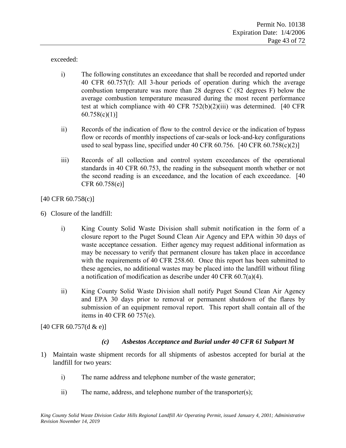exceeded:

- i) The following constitutes an exceedance that shall be recorded and reported under 40 CFR 60.757(f): All 3-hour periods of operation during which the average combustion temperature was more than 28 degrees C (82 degrees F) below the average combustion temperature measured during the most recent performance test at which compliance with 40 CFR  $752(b)(2)(iii)$  was determined. [40 CFR]  $60.758(c)(1)$ ]
- ii) Records of the indication of flow to the control device or the indication of bypass flow or records of monthly inspections of car-seals or lock-and-key configurations used to seal bypass line, specified under 40 CFR 60.756. [40 CFR 60.758(c)(2)]
- iii) Records of all collection and control system exceedances of the operational standards in 40 CFR 60.753, the reading in the subsequent month whether or not the second reading is an exceedance, and the location of each exceedance. [40 CFR 60.758(e)]

[40 CFR 60.758(c)]

- 6) Closure of the landfill:
	- i) King County Solid Waste Division shall submit notification in the form of a closure report to the Puget Sound Clean Air Agency and EPA within 30 days of waste acceptance cessation. Either agency may request additional information as may be necessary to verify that permanent closure has taken place in accordance with the requirements of 40 CFR 258.60. Once this report has been submitted to these agencies, no additional wastes may be placed into the landfill without filing a notification of modification as describe under 40 CFR 60.7(a)(4).
	- ii) King County Solid Waste Division shall notify Puget Sound Clean Air Agency and EPA 30 days prior to removal or permanent shutdown of the flares by submission of an equipment removal report. This report shall contain all of the items in 40 CFR 60 757(e).

[40 CFR 60.757(d & e)]

#### *(c) Asbestos Acceptance and Burial under 40 CFR 61 Subpart M*

- 1) Maintain waste shipment records for all shipments of asbestos accepted for burial at the landfill for two years:
	- i) The name address and telephone number of the waste generator;
	- ii) The name, address, and telephone number of the transporter(s);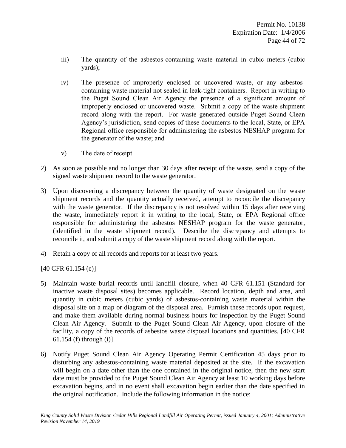- iii) The quantity of the asbestos-containing waste material in cubic meters (cubic yards);
- iv) The presence of improperly enclosed or uncovered waste, or any asbestoscontaining waste material not sealed in leak-tight containers. Report in writing to the Puget Sound Clean Air Agency the presence of a significant amount of improperly enclosed or uncovered waste. Submit a copy of the waste shipment record along with the report. For waste generated outside Puget Sound Clean Agency's jurisdiction, send copies of these documents to the local, State, or EPA Regional office responsible for administering the asbestos NESHAP program for the generator of the waste; and
- v) The date of receipt.
- 2) As soon as possible and no longer than 30 days after receipt of the waste, send a copy of the signed waste shipment record to the waste generator.
- 3) Upon discovering a discrepancy between the quantity of waste designated on the waste shipment records and the quantity actually received, attempt to reconcile the discrepancy with the waste generator. If the discrepancy is not resolved within 15 days after receiving the waste, immediately report it in writing to the local, State, or EPA Regional office responsible for administering the asbestos NESHAP program for the waste generator, (identified in the waste shipment record). Describe the discrepancy and attempts to reconcile it, and submit a copy of the waste shipment record along with the report.
- 4) Retain a copy of all records and reports for at least two years.

[40 CFR 61.154 (e)]

- 5) Maintain waste burial records until landfill closure, when 40 CFR 61.151 (Standard for inactive waste disposal sites) becomes applicable. Record location, depth and area, and quantity in cubic meters (cubic yards) of asbestos-containing waste material within the disposal site on a map or diagram of the disposal area. Furnish these records upon request, and make them available during normal business hours for inspection by the Puget Sound Clean Air Agency. Submit to the Puget Sound Clean Air Agency, upon closure of the facility, a copy of the records of asbestos waste disposal locations and quantities. [40 CFR 61.154 (f) through (i)]
- 6) Notify Puget Sound Clean Air Agency Operating Permit Certification 45 days prior to disturbing any asbestos-containing waste material deposited at the site. If the excavation will begin on a date other than the one contained in the original notice, then the new start date must be provided to the Puget Sound Clean Air Agency at least 10 working days before excavation begins, and in no event shall excavation begin earlier than the date specified in the original notification. Include the following information in the notice: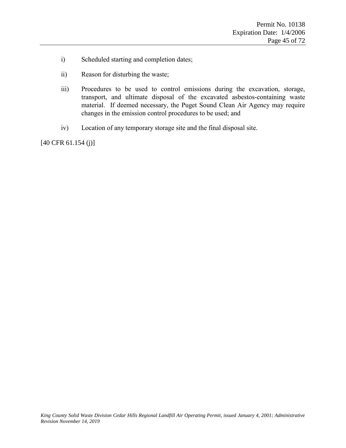- i) Scheduled starting and completion dates;
- ii) Reason for disturbing the waste;
- iii) Procedures to be used to control emissions during the excavation, storage, transport, and ultimate disposal of the excavated asbestos-containing waste material. If deemed necessary, the Puget Sound Clean Air Agency may require changes in the emission control procedures to be used; and
- iv) Location of any temporary storage site and the final disposal site.

[40 CFR 61.154 (j)]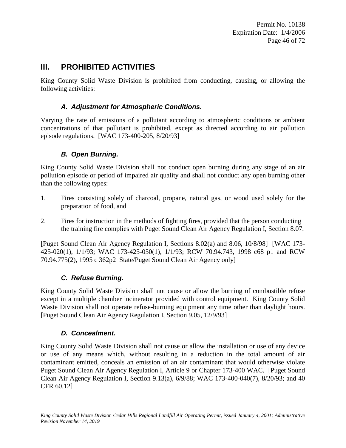# **III. PROHIBITED ACTIVITIES**

King County Solid Waste Division is prohibited from conducting, causing, or allowing the following activities:

## *A. Adjustment for Atmospheric Conditions.*

Varying the rate of emissions of a pollutant according to atmospheric conditions or ambient concentrations of that pollutant is prohibited, except as directed according to air pollution episode regulations. [WAC 173-400-205, 8/20/93]

## *B. Open Burning.*

King County Solid Waste Division shall not conduct open burning during any stage of an air pollution episode or period of impaired air quality and shall not conduct any open burning other than the following types:

- 1. Fires consisting solely of charcoal, propane, natural gas, or wood used solely for the preparation of food, and
- 2. Fires for instruction in the methods of fighting fires, provided that the person conducting the training fire complies with Puget Sound Clean Air Agency Regulation I, Section 8.07.

[Puget Sound Clean Air Agency Regulation I, Sections 8.02(a) and 8.06, 10/8/98] [WAC 173- 425-020(1), 1/1/93; WAC 173-425-050(1), 1/1/93; RCW 70.94.743, 1998 c68 p1 and RCW 70.94.775(2), 1995 c 362p2 State/Puget Sound Clean Air Agency only]

## *C. Refuse Burning.*

King County Solid Waste Division shall not cause or allow the burning of combustible refuse except in a multiple chamber incinerator provided with control equipment. King County Solid Waste Division shall not operate refuse-burning equipment any time other than daylight hours. [Puget Sound Clean Air Agency Regulation I, Section 9.05, 12/9/93]

## *D. Concealment.*

King County Solid Waste Division shall not cause or allow the installation or use of any device or use of any means which, without resulting in a reduction in the total amount of air contaminant emitted, conceals an emission of an air contaminant that would otherwise violate Puget Sound Clean Air Agency Regulation I, Article 9 or Chapter 173-400 WAC. [Puget Sound Clean Air Agency Regulation I, Section 9.13(a), 6/9/88; WAC 173-400-040(7), 8/20/93; and 40 CFR 60.12]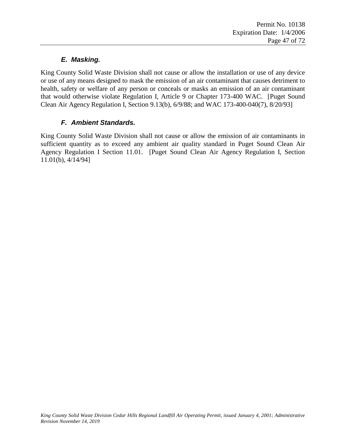## *E. Masking.*

King County Solid Waste Division shall not cause or allow the installation or use of any device or use of any means designed to mask the emission of an air contaminant that causes detriment to health, safety or welfare of any person or conceals or masks an emission of an air contaminant that would otherwise violate Regulation I, Article 9 or Chapter 173-400 WAC. [Puget Sound Clean Air Agency Regulation I, Section 9.13(b), 6/9/88; and WAC 173-400-040(7), 8/20/93]

## *F. Ambient Standards.*

King County Solid Waste Division shall not cause or allow the emission of air contaminants in sufficient quantity as to exceed any ambient air quality standard in Puget Sound Clean Air Agency Regulation I Section 11.01. [Puget Sound Clean Air Agency Regulation I, Section 11.01(b), 4/14/94]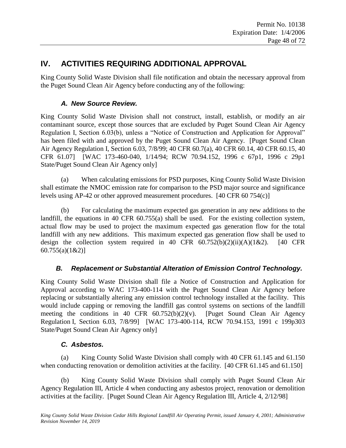# **IV. ACTIVITIES REQUIRING ADDITIONAL APPROVAL**

King County Solid Waste Division shall file notification and obtain the necessary approval from the Puget Sound Clean Air Agency before conducting any of the following:

### *A. New Source Review.*

King County Solid Waste Division shall not construct, install, establish, or modify an air contaminant source, except those sources that are excluded by Puget Sound Clean Air Agency Regulation I, Section 6.03(b), unless a "Notice of Construction and Application for Approval" has been filed with and approved by the Puget Sound Clean Air Agency. [Puget Sound Clean Air Agency Regulation I, Section 6.03, 7/8/99; 40 CFR 60.7(a), 40 CFR 60.14, 40 CFR 60.15, 40 CFR 61.07] [WAC 173-460-040, 1/14/94; RCW 70.94.152, 1996 c 67p1, 1996 c 29p1 State/Puget Sound Clean Air Agency only]

(a) When calculating emissions for PSD purposes, King County Solid Waste Division shall estimate the NMOC emission rate for comparison to the PSD major source and significance levels using AP-42 or other approved measurement procedures. [40 CFR 60 754(c)]

(b) For calculating the maximum expected gas generation in any new additions to the landfill, the equations in 40 CFR 60.755(a) shall be used. For the existing collection system, actual flow may be used to project the maximum expected gas generation flow for the total landfill with any new additions. This maximum expected gas generation flow shall be used to design the collection system required in 40 CFR  $60.752(b)(2)(ii)(A)(1&2)$ . [40 CFR 60.755(a)(1&2)]

## *B. Replacement or Substantial Alteration of Emission Control Technology.*

King County Solid Waste Division shall file a Notice of Construction and Application for Approval according to WAC 173-400-114 with the Puget Sound Clean Air Agency before replacing or substantially altering any emission control technology installed at the facility. This would include capping or removing the landfill gas control systems on sections of the landfill meeting the conditions in 40 CFR  $60.752(b)(2)(v)$ . [Puget Sound Clean Air Agency Regulation I, Section 6.03, 7/8/99] [WAC 173-400-114, RCW 70.94.153, 1991 c 199p303 State/Puget Sound Clean Air Agency only]

## *C. Asbestos.*

(a) King County Solid Waste Division shall comply with 40 CFR 61.145 and 61.150 when conducting renovation or demolition activities at the facility. [40 CFR 61.145 and 61.150]

(b) King County Solid Waste Division shall comply with Puget Sound Clean Air Agency Regulation III, Article 4 when conducting any asbestos project, renovation or demolition activities at the facility. [Puget Sound Clean Air Agency Regulation III, Article 4, 2/12/98]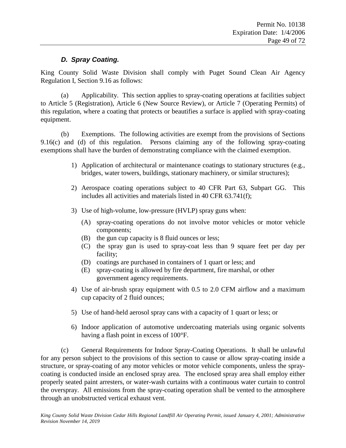#### *D. Spray Coating.*

King County Solid Waste Division shall comply with Puget Sound Clean Air Agency Regulation I, Section 9.16 as follows:

(a) Applicability. This section applies to spray-coating operations at facilities subject to Article 5 (Registration), Article 6 (New Source Review), or Article 7 (Operating Permits) of this regulation, where a coating that protects or beautifies a surface is applied with spray-coating equipment.

(b) Exemptions. The following activities are exempt from the provisions of Sections 9.16(c) and (d) of this regulation. Persons claiming any of the following spray-coating exemptions shall have the burden of demonstrating compliance with the claimed exemption.

- 1) Application of architectural or maintenance coatings to stationary structures (e.g., bridges, water towers, buildings, stationary machinery, or similar structures);
- 2) Aerospace coating operations subject to 40 CFR Part 63, Subpart GG. This includes all activities and materials listed in 40 CFR 63.741(f);
- 3) Use of high-volume, low-pressure (HVLP) spray guns when:
	- (A) spray-coating operations do not involve motor vehicles or motor vehicle components;
	- (B) the gun cup capacity is 8 fluid ounces or less;
	- (C) the spray gun is used to spray-coat less than 9 square feet per day per facility;
	- (D) coatings are purchased in containers of 1 quart or less; and
	- (E) spray-coating is allowed by fire department, fire marshal, or other government agency requirements.
- 4) Use of air-brush spray equipment with 0.5 to 2.0 CFM airflow and a maximum cup capacity of 2 fluid ounces;
- 5) Use of hand-held aerosol spray cans with a capacity of 1 quart or less; or
- 6) Indoor application of automotive undercoating materials using organic solvents having a flash point in excess of 100°F.

(c) General Requirements for Indoor Spray-Coating Operations. It shall be unlawful for any person subject to the provisions of this section to cause or allow spray-coating inside a structure, or spray-coating of any motor vehicles or motor vehicle components, unless the spraycoating is conducted inside an enclosed spray area. The enclosed spray area shall employ either properly seated paint arresters, or water-wash curtains with a continuous water curtain to control the overspray. All emissions from the spray-coating operation shall be vented to the atmosphere through an unobstructed vertical exhaust vent.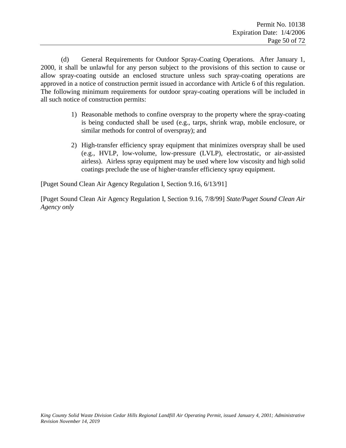(d) General Requirements for Outdoor Spray-Coating Operations. After January 1, 2000, it shall be unlawful for any person subject to the provisions of this section to cause or allow spray-coating outside an enclosed structure unless such spray-coating operations are approved in a notice of construction permit issued in accordance with Article 6 of this regulation. The following minimum requirements for outdoor spray-coating operations will be included in all such notice of construction permits:

- 1) Reasonable methods to confine overspray to the property where the spray-coating is being conducted shall be used (e.g., tarps, shrink wrap, mobile enclosure, or similar methods for control of overspray); and
- 2) High-transfer efficiency spray equipment that minimizes overspray shall be used (e.g., HVLP, low-volume, low-pressure (LVLP), electrostatic, or air-assisted airless). Airless spray equipment may be used where low viscosity and high solid coatings preclude the use of higher-transfer efficiency spray equipment.

[Puget Sound Clean Air Agency Regulation I, Section 9.16, 6/13/91]

[Puget Sound Clean Air Agency Regulation I, Section 9.16, 7/8/99] *State/Puget Sound Clean Air Agency only*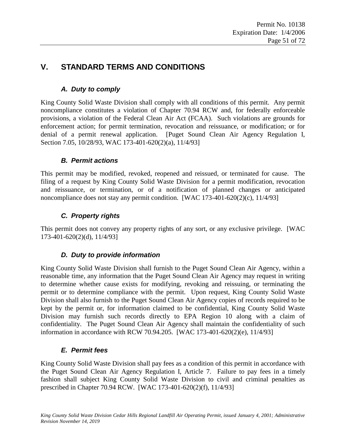# **V. STANDARD TERMS AND CONDITIONS**

## *A. Duty to comply*

King County Solid Waste Division shall comply with all conditions of this permit. Any permit noncompliance constitutes a violation of Chapter 70.94 RCW and, for federally enforceable provisions, a violation of the Federal Clean Air Act (FCAA). Such violations are grounds for enforcement action; for permit termination, revocation and reissuance, or modification; or for denial of a permit renewal application. [Puget Sound Clean Air Agency Regulation I, Section 7.05, 10/28/93, WAC 173-401-620(2)(a), 11/4/93]

## *B. Permit actions*

This permit may be modified, revoked, reopened and reissued, or terminated for cause. The filing of a request by King County Solid Waste Division for a permit modification, revocation and reissuance, or termination, or of a notification of planned changes or anticipated noncompliance does not stay any permit condition. [WAC 173-401-620(2)(c),  $11/4/93$ ]

## *C. Property rights*

This permit does not convey any property rights of any sort, or any exclusive privilege. [WAC 173-401-620(2)(d), 11/4/93]

## *D. Duty to provide information*

King County Solid Waste Division shall furnish to the Puget Sound Clean Air Agency, within a reasonable time, any information that the Puget Sound Clean Air Agency may request in writing to determine whether cause exists for modifying, revoking and reissuing, or terminating the permit or to determine compliance with the permit. Upon request, King County Solid Waste Division shall also furnish to the Puget Sound Clean Air Agency copies of records required to be kept by the permit or, for information claimed to be confidential, King County Solid Waste Division may furnish such records directly to EPA Region 10 along with a claim of confidentiality. The Puget Sound Clean Air Agency shall maintain the confidentiality of such information in accordance with RCW 70.94.205. [WAC 173-401-620(2)(e), 11/4/93]

## *E. Permit fees*

King County Solid Waste Division shall pay fees as a condition of this permit in accordance with the Puget Sound Clean Air Agency Regulation I, Article 7. Failure to pay fees in a timely fashion shall subject King County Solid Waste Division to civil and criminal penalties as prescribed in Chapter 70.94 RCW. [WAC 173-401-620(2)(f), 11/4/93]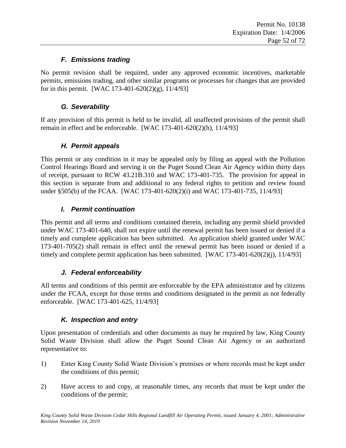## *F. Emissions trading*

No permit revision shall be required, under any approved economic incentives, marketable permits, emissions trading, and other similar programs or processes for changes that are provided for in this permit. [WAC 173-401-620(2)(g),  $11/4/93$ ]

## *G. Severability*

If any provision of this permit is held to be invalid, all unaffected provisions of the permit shall remain in effect and be enforceable. [WAC 173-401-620(2)(h), 11/4/93]

## *H. Permit appeals*

This permit or any condition in it may be appealed only by filing an appeal with the Pollution Control Hearings Board and serving it on the Puget Sound Clean Air Agency within thirty days of receipt, pursuant to RCW 43.21B.310 and WAC 173-401-735. The provision for appeal in this section is separate from and additional to any federal rights to petition and review found under §505(b) of the FCAA. [WAC 173-401-620(2)(i) and WAC 173-401-735, 11/4/93]

## *I. Permit continuation*

This permit and all terms and conditions contained therein, including any permit shield provided under WAC 173-401-640, shall not expire until the renewal permit has been issued or denied if a timely and complete application has been submitted. An application shield granted under WAC 173-401-705(2) shall remain in effect until the renewal permit has been issued or denied if a timely and complete permit application has been submitted. [WAC 173-401-620(2)(j), 11/4/93]

## *J. Federal enforceability*

All terms and conditions of this permit are enforceable by the EPA administrator and by citizens under the FCAA, except for those terms and conditions designated in the permit as not federally enforceable. [WAC 173-401-625, 11/4/93]

## *K. Inspection and entry*

Upon presentation of credentials and other documents as may be required by law, King County Solid Waste Division shall allow the Puget Sound Clean Air Agency or an authorized representative to:

- 1) Enter King County Solid Waste Division's premises or where records must be kept under the conditions of this permit;
- 2) Have access to and copy, at reasonable times, any records that must be kept under the conditions of the permit;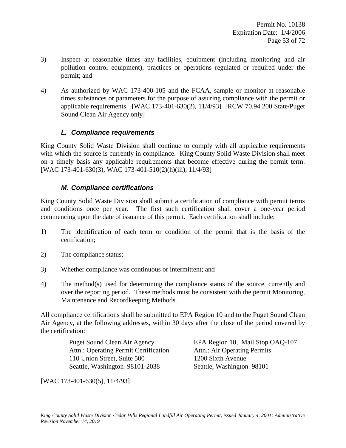- 3) Inspect at reasonable times any facilities, equipment (including monitoring and air pollution control equipment), practices or operations regulated or required under the permit; and
- 4) As authorized by WAC 173-400-105 and the FCAA, sample or monitor at reasonable times substances or parameters for the purpose of assuring compliance with the permit or applicable requirements. [WAC 173-401-630(2), 11/4/93] [RCW 70.94.200 State/Puget Sound Clean Air Agency only]

#### *L. Compliance requirements*

King County Solid Waste Division shall continue to comply with all applicable requirements with which the source is currently in compliance. King County Solid Waste Division shall meet on a timely basis any applicable requirements that become effective during the permit term. [WAC 173-401-630(3), WAC 173-401-510(2)(h)(iii), 11/4/93]

#### *M. Compliance certifications*

King County Solid Waste Division shall submit a certification of compliance with permit terms and conditions once per year. The first such certification shall cover a one-year period commencing upon the date of issuance of this permit. Each certification shall include:

- 1) The identification of each term or condition of the permit that is the basis of the certification;
- 2) The compliance status;
- 3) Whether compliance was continuous or intermittent; and
- 4) The method(s) used for determining the compliance status of the source, currently and over the reporting period. These methods must be consistent with the permit Monitoring, Maintenance and Recordkeeping Methods.

All compliance certifications shall be submitted to EPA Region 10 and to the Puget Sound Clean Air Agency, at the following addresses, within 30 days after the close of the period covered by the certification:

> Attn.: Operating Permit Certification Attn.: Air Operating Permits 110 Union Street, Suite 500 1200 Sixth Avenue Seattle, Washington 98101-2038 Seattle, Washington 98101

Puget Sound Clean Air Agency EPA Region 10, Mail Stop OAQ-107

[WAC 173-401-630(5), 11/4/93]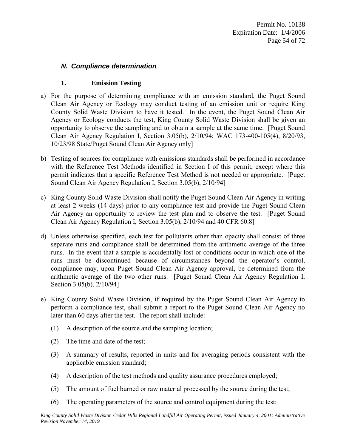### *N. Compliance determination*

#### **1. Emission Testing**

- a) For the purpose of determining compliance with an emission standard, the Puget Sound Clean Air Agency or Ecology may conduct testing of an emission unit or require King County Solid Waste Division to have it tested. In the event, the Puget Sound Clean Air Agency or Ecology conducts the test, King County Solid Waste Division shall be given an opportunity to observe the sampling and to obtain a sample at the same time. [Puget Sound Clean Air Agency Regulation I, Section 3.05(b), 2/10/94; WAC 173-400-105(4), 8/20/93, 10/23/98 State/Puget Sound Clean Air Agency only]
- b) Testing of sources for compliance with emissions standards shall be performed in accordance with the Reference Test Methods identified in Section I of this permit, except where this permit indicates that a specific Reference Test Method is not needed or appropriate. [Puget Sound Clean Air Agency Regulation I, Section 3.05(b), 2/10/94]
- c) King County Solid Waste Division shall notify the Puget Sound Clean Air Agency in writing at least 2 weeks (14 days) prior to any compliance test and provide the Puget Sound Clean Air Agency an opportunity to review the test plan and to observe the test. [Puget Sound Clean Air Agency Regulation I, Section 3.05(b), 2/10/94 and 40 CFR 60.8]
- d) Unless otherwise specified, each test for pollutants other than opacity shall consist of three separate runs and compliance shall be determined from the arithmetic average of the three runs. In the event that a sample is accidentally lost or conditions occur in which one of the runs must be discontinued because of circumstances beyond the operator's control, compliance may, upon Puget Sound Clean Air Agency approval, be determined from the arithmetic average of the two other runs. [Puget Sound Clean Air Agency Regulation I, Section 3.05(b), 2/10/94]
- e) King County Solid Waste Division, if required by the Puget Sound Clean Air Agency to perform a compliance test, shall submit a report to the Puget Sound Clean Air Agency no later than 60 days after the test. The report shall include:
	- (1) A description of the source and the sampling location;
	- (2) The time and date of the test;
	- (3) A summary of results, reported in units and for averaging periods consistent with the applicable emission standard;
	- (4) A description of the test methods and quality assurance procedures employed;
	- (5) The amount of fuel burned or raw material processed by the source during the test;
	- (6) The operating parameters of the source and control equipment during the test;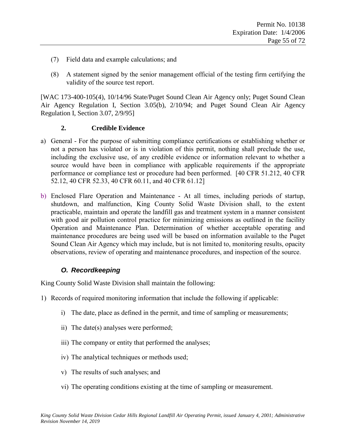- (7) Field data and example calculations; and
- (8) A statement signed by the senior management official of the testing firm certifying the validity of the source test report.

[WAC 173-400-105(4), 10/14/96 State/Puget Sound Clean Air Agency only; Puget Sound Clean Air Agency Regulation I, Section 3.05(b), 2/10/94; and Puget Sound Clean Air Agency Regulation I, Section 3.07, 2/9/95]

#### **2. Credible Evidence**

- a) General For the purpose of submitting compliance certifications or establishing whether or not a person has violated or is in violation of this permit, nothing shall preclude the use, including the exclusive use, of any credible evidence or information relevant to whether a source would have been in compliance with applicable requirements if the appropriate performance or compliance test or procedure had been performed. [40 CFR 51.212, 40 CFR 52.12, 40 CFR 52.33, 40 CFR 60.11, and 40 CFR 61.12]
- b) Enclosed Flare Operation and Maintenance At all times, including periods of startup, shutdown, and malfunction, King County Solid Waste Division shall, to the extent practicable, maintain and operate the landfill gas and treatment system in a manner consistent with good air pollution control practice for minimizing emissions as outlined in the facility Operation and Maintenance Plan. Determination of whether acceptable operating and maintenance procedures are being used will be based on information available to the Puget Sound Clean Air Agency which may include, but is not limited to, monitoring results, opacity observations, review of operating and maintenance procedures, and inspection of the source.

## *O. Recordkeeping*

King County Solid Waste Division shall maintain the following:

- 1) Records of required monitoring information that include the following if applicable:
	- i) The date, place as defined in the permit, and time of sampling or measurements;
	- ii) The date(s) analyses were performed;
	- iii) The company or entity that performed the analyses;
	- iv) The analytical techniques or methods used;
	- v) The results of such analyses; and
	- vi) The operating conditions existing at the time of sampling or measurement.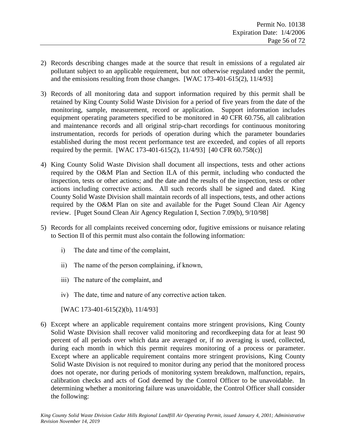- 2) Records describing changes made at the source that result in emissions of a regulated air pollutant subject to an applicable requirement, but not otherwise regulated under the permit, and the emissions resulting from those changes. [WAC 173-401-615(2), 11/4/93]
- 3) Records of all monitoring data and support information required by this permit shall be retained by King County Solid Waste Division for a period of five years from the date of the monitoring, sample, measurement, record or application. Support information includes equipment operating parameters specified to be monitored in 40 CFR 60.756, all calibration and maintenance records and all original strip-chart recordings for continuous monitoring instrumentation, records for periods of operation during which the parameter boundaries established during the most recent performance test are exceeded, and copies of all reports required by the permit. [WAC 173-401-615(2), 11/4/93] [40 CFR 60.758(c)]
- 4) King County Solid Waste Division shall document all inspections, tests and other actions required by the O&M Plan and Section II.A of this permit, including who conducted the inspection, tests or other actions; and the date and the results of the inspection, tests or other actions including corrective actions. All such records shall be signed and dated. King County Solid Waste Division shall maintain records of all inspections, tests, and other actions required by the O&M Plan on site and available for the Puget Sound Clean Air Agency review. [Puget Sound Clean Air Agency Regulation I, Section 7.09(b), 9/10/98]
- 5) Records for all complaints received concerning odor, fugitive emissions or nuisance relating to Section II of this permit must also contain the following information:
	- i) The date and time of the complaint,
	- ii) The name of the person complaining, if known,
	- iii) The nature of the complaint, and
	- iv) The date, time and nature of any corrective action taken.
	- [WAC 173-401-615(2)(b), 11/4/93]
- 6) Except where an applicable requirement contains more stringent provisions, King County Solid Waste Division shall recover valid monitoring and recordkeeping data for at least 90 percent of all periods over which data are averaged or, if no averaging is used, collected, during each month in which this permit requires monitoring of a process or parameter. Except where an applicable requirement contains more stringent provisions, King County Solid Waste Division is not required to monitor during any period that the monitored process does not operate, nor during periods of monitoring system breakdown, malfunction, repairs, calibration checks and acts of God deemed by the Control Officer to be unavoidable. In determining whether a monitoring failure was unavoidable, the Control Officer shall consider the following: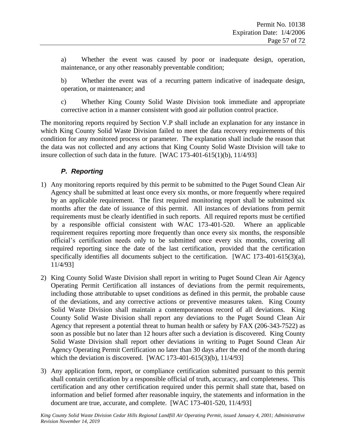a) Whether the event was caused by poor or inadequate design, operation, maintenance, or any other reasonably preventable condition;

b) Whether the event was of a recurring pattern indicative of inadequate design, operation, or maintenance; and

c) Whether King County Solid Waste Division took immediate and appropriate corrective action in a manner consistent with good air pollution control practice.

The monitoring reports required by Section [V.P](#page-56-0) shall include an explanation for any instance in which King County Solid Waste Division failed to meet the data recovery requirements of this condition for any monitored process or parameter. The explanation shall include the reason that the data was not collected and any actions that King County Solid Waste Division will take to insure collection of such data in the future. [WAC 173-401-615(1)(b), 11/4/93]

## *P. Reporting*

- <span id="page-56-0"></span>1) Any monitoring reports required by this permit to be submitted to the Puget Sound Clean Air Agency shall be submitted at least once every six months, or more frequently where required by an applicable requirement. The first required monitoring report shall be submitted six months after the date of issuance of this permit. All instances of deviations from permit requirements must be clearly identified in such reports. All required reports must be certified by a responsible official consistent with WAC 173-401-520. Where an applicable requirement requires reporting more frequently than once every six months, the responsible official's certification needs only to be submitted once every six months, covering all required reporting since the date of the last certification, provided that the certification specifically identifies all documents subject to the certification. [WAC 173-401-615(3)(a), 11/4/93]
- <span id="page-56-1"></span>2) King County Solid Waste Division shall report in writing to Puget Sound Clean Air Agency Operating Permit Certification all instances of deviations from the permit requirements, including those attributable to upset conditions as defined in this permit, the probable cause of the deviations, and any corrective actions or preventive measures taken. King County Solid Waste Division shall maintain a contemporaneous record of all deviations. King County Solid Waste Division shall report any deviations to the Puget Sound Clean Air Agency that represent a potential threat to human health or safety by FAX (206-343-7522) as soon as possible but no later than 12 hours after such a deviation is discovered. King County Solid Waste Division shall report other deviations in writing to Puget Sound Clean Air Agency Operating Permit Certification no later than 30 days after the end of the month during which the deviation is discovered. [WAC  $173-401-615(3)(b)$ ,  $11/4/93$ ]
- 3) Any application form, report, or compliance certification submitted pursuant to this permit shall contain certification by a responsible official of truth, accuracy, and completeness. This certification and any other certification required under this permit shall state that, based on information and belief formed after reasonable inquiry, the statements and information in the document are true, accurate, and complete. [WAC 173-401-520, 11/4/93]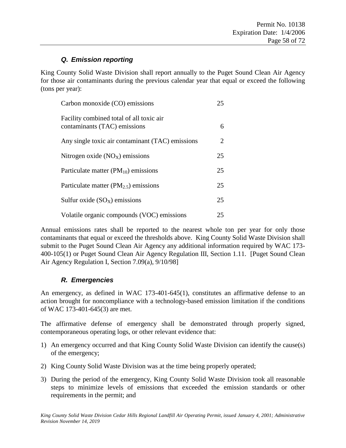## *Q. Emission reporting*

King County Solid Waste Division shall report annually to the Puget Sound Clean Air Agency for those air contaminants during the previous calendar year that equal or exceed the following (tons per year):

| Carbon monoxide (CO) emissions                                           | 25 |
|--------------------------------------------------------------------------|----|
| Facility combined total of all toxic air<br>contaminants (TAC) emissions | 6  |
| Any single toxic air contaminant (TAC) emissions                         | 2  |
| Nitrogen oxide $(NOx)$ emissions                                         | 25 |
| Particulate matter $(PM_{10})$ emissions                                 | 25 |
| Particulate matter ( $PM_{2.5}$ ) emissions                              | 25 |
| Sulfur oxide $(SO_X)$ emissions                                          | 25 |
| Volatile organic compounds (VOC) emissions                               | 25 |

Annual emissions rates shall be reported to the nearest whole ton per year for only those contaminants that equal or exceed the thresholds above. King County Solid Waste Division shall submit to the Puget Sound Clean Air Agency any additional information required by WAC 173- 400-105(1) or Puget Sound Clean Air Agency Regulation III, Section 1.11. [Puget Sound Clean Air Agency Regulation I, Section 7.09(a), 9/10/98]

## *R. Emergencies*

An emergency, as defined in WAC 173-401-645(1), constitutes an affirmative defense to an action brought for noncompliance with a technology-based emission limitation if the conditions of WAC 173-401-645(3) are met.

The affirmative defense of emergency shall be demonstrated through properly signed, contemporaneous operating logs, or other relevant evidence that:

- 1) An emergency occurred and that King County Solid Waste Division can identify the cause(s) of the emergency;
- 2) King County Solid Waste Division was at the time being properly operated;
- 3) During the period of the emergency, King County Solid Waste Division took all reasonable steps to minimize levels of emissions that exceeded the emission standards or other requirements in the permit; and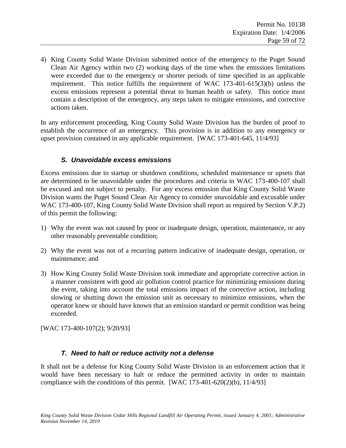4) King County Solid Waste Division submitted notice of the emergency to the Puget Sound Clean Air Agency within two (2) working days of the time when the emissions limitations were exceeded due to the emergency or shorter periods of time specified in an applicable requirement. This notice fulfills the requirement of WAC 173-401-615(3)(b) unless the excess emissions represent a potential threat to human health or safety. This notice must contain a description of the emergency, any steps taken to mitigate emissions, and corrective actions taken.

In any enforcement proceeding, King County Solid Waste Division has the burden of proof to establish the occurrence of an emergency. This provision is in addition to any emergency or upset provision contained in any applicable requirement. [WAC 173-401-645, 11/4/93]

#### *S. Unavoidable excess emissions*

Excess emissions due to startup or shutdown conditions, scheduled maintenance or upsets that are determined to be unavoidable under the procedures and criteria in WAC 173-400-107 shall be excused and not subject to penalty. For any excess emission that King County Solid Waste Division wants the Puget Sound Clean Air Agency to consider unavoidable and excusable under WAC 173-400-107, King County Solid Waste Division shall report as required by Section [V.P](#page-56-0)[.2\)](#page-56-1) of this permit the following:

- 1) Why the event was not caused by poor or inadequate design, operation, maintenance, or any other reasonably preventable condition;
- 2) Why the event was not of a recurring pattern indicative of inadequate design, operation, or maintenance; and
- 3) How King County Solid Waste Division took immediate and appropriate corrective action in a manner consistent with good air pollution control practice for minimizing emissions during the event, taking into account the total emissions impact of the corrective action, including slowing or shutting down the emission unit as necessary to minimize emissions, when the operator knew or should have known that an emission standard or permit condition was being exceeded.

[WAC 173-400-107(2); 9/20/93]

## *T. Need to halt or reduce activity not a defense*

It shall not be a defense for King County Solid Waste Division in an enforcement action that it would have been necessary to halt or reduce the permitted activity in order to maintain compliance with the conditions of this permit. [WAC 173-401-620(2)(b), 11/4/93]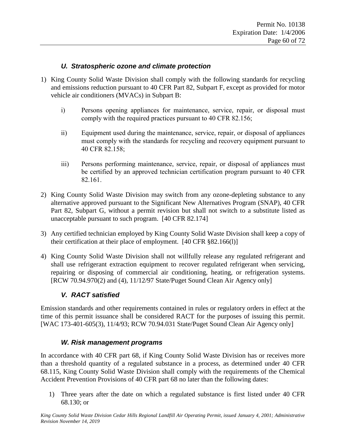#### *U. Stratospheric ozone and climate protection*

- 1) King County Solid Waste Division shall comply with the following standards for recycling and emissions reduction pursuant to 40 CFR Part 82, Subpart F, except as provided for motor vehicle air conditioners (MVACs) in Subpart B:
	- i) Persons opening appliances for maintenance, service, repair, or disposal must comply with the required practices pursuant to 40 CFR 82.156;
	- ii) Equipment used during the maintenance, service, repair, or disposal of appliances must comply with the standards for recycling and recovery equipment pursuant to 40 CFR 82.158;
	- iii) Persons performing maintenance, service, repair, or disposal of appliances must be certified by an approved technician certification program pursuant to 40 CFR 82.161.
- 2) King County Solid Waste Division may switch from any ozone-depleting substance to any alternative approved pursuant to the Significant New Alternatives Program (SNAP), 40 CFR Part 82, Subpart G, without a permit revision but shall not switch to a substitute listed as unacceptable pursuant to such program. [40 CFR 82.174]
- 3) Any certified technician employed by King County Solid Waste Division shall keep a copy of their certification at their place of employment. [40 CFR §82.166(l)]
- 4) King County Solid Waste Division shall not willfully release any regulated refrigerant and shall use refrigerant extraction equipment to recover regulated refrigerant when servicing, repairing or disposing of commercial air conditioning, heating, or refrigeration systems. [RCW 70.94.970(2) and (4), 11/12/97 State/Puget Sound Clean Air Agency only]

#### *V. RACT satisfied*

Emission standards and other requirements contained in rules or regulatory orders in effect at the time of this permit issuance shall be considered RACT for the purposes of issuing this permit. [WAC 173-401-605(3), 11/4/93; RCW 70.94.031 State/Puget Sound Clean Air Agency only]

#### *W. Risk management programs*

In accordance with 40 CFR part 68, if King County Solid Waste Division has or receives more than a threshold quantity of a regulated substance in a process, as determined under 40 CFR 68.115, King County Solid Waste Division shall comply with the requirements of the Chemical Accident Prevention Provisions of 40 CFR part 68 no later than the following dates:

1) Three years after the date on which a regulated substance is first listed under 40 CFR 68.130; or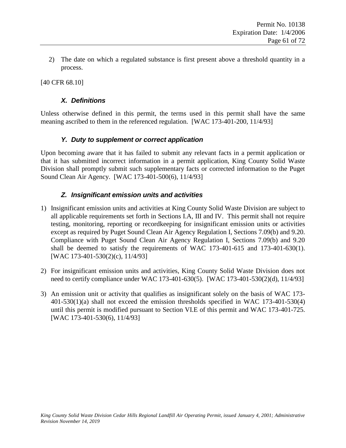2) The date on which a regulated substance is first present above a threshold quantity in a process.

[40 CFR 68.10]

#### *X. Definitions*

Unless otherwise defined in this permit, the terms used in this permit shall have the same meaning ascribed to them in the referenced regulation. [WAC 173-401-200, 11/4/93]

#### *Y. Duty to supplement or correct application*

Upon becoming aware that it has failed to submit any relevant facts in a permit application or that it has submitted incorrect information in a permit application, King County Solid Waste Division shall promptly submit such supplementary facts or corrected information to the Puget Sound Clean Air Agency. [WAC 173-401-500(6), 11/4/93]

#### *Z. Insignificant emission units and activities*

- 1) Insignificant emission units and activities at King County Solid Waste Division are subject to all applicable requirements set forth in Sections I.A, III and IV. This permit shall not require testing, monitoring, reporting or recordkeeping for insignificant emission units or activities except as required by Puget Sound Clean Air Agency Regulation I, Sections 7.09(b) and 9.20. Compliance with Puget Sound Clean Air Agency Regulation I, Sections 7.09(b) and 9.20 shall be deemed to satisfy the requirements of WAC 173-401-615 and 173-401-630(1). [WAC 173-401-530(2)(c), 11/4/93]
- 2) For insignificant emission units and activities, King County Solid Waste Division does not need to certify compliance under WAC 173-401-630(5). [WAC 173-401-530(2)(d), 11/4/93]
- 3) An emission unit or activity that qualifies as insignificant solely on the basis of WAC 173- 401-530(1)(a) shall not exceed the emission thresholds specified in WAC 173-401-530(4) until this permit is modified pursuant to Section VI.E of this permit and WAC 173-401-725. [WAC 173-401-530(6), 11/4/93]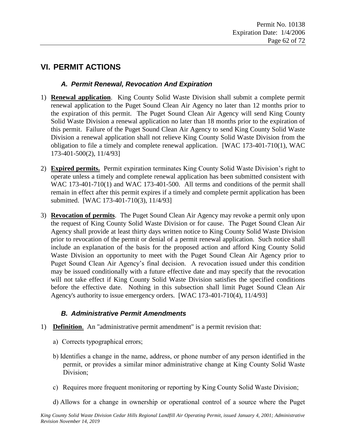# **VI. PERMIT ACTIONS**

### *A. Permit Renewal, Revocation And Expiration*

- 1) **Renewal application**. King County Solid Waste Division shall submit a complete permit renewal application to the Puget Sound Clean Air Agency no later than 12 months prior to the expiration of this permit. The Puget Sound Clean Air Agency will send King County Solid Waste Division a renewal application no later than 18 months prior to the expiration of this permit. Failure of the Puget Sound Clean Air Agency to send King County Solid Waste Division a renewal application shall not relieve King County Solid Waste Division from the obligation to file a timely and complete renewal application. [WAC 173-401-710(1), WAC 173-401-500(2), 11/4/93]
- 2) **Expired permits.** Permit expiration terminates King County Solid Waste Division's right to operate unless a timely and complete renewal application has been submitted consistent with WAC 173-401-710(1) and WAC 173-401-500. All terms and conditions of the permit shall remain in effect after this permit expires if a timely and complete permit application has been submitted. [WAC 173-401-710(3), 11/4/93]
- 3) **Revocation of permits**. The Puget Sound Clean Air Agency may revoke a permit only upon the request of King County Solid Waste Division or for cause. The Puget Sound Clean Air Agency shall provide at least thirty days written notice to King County Solid Waste Division prior to revocation of the permit or denial of a permit renewal application. Such notice shall include an explanation of the basis for the proposed action and afford King County Solid Waste Division an opportunity to meet with the Puget Sound Clean Air Agency prior to Puget Sound Clean Air Agency's final decision. A revocation issued under this condition may be issued conditionally with a future effective date and may specify that the revocation will not take effect if King County Solid Waste Division satisfies the specified conditions before the effective date. Nothing in this subsection shall limit Puget Sound Clean Air Agency's authority to issue emergency orders. [WAC 173-401-710(4), 11/4/93]

## *B. Administrative Permit Amendments*

- 1) **Definition**. An "administrative permit amendment" is a permit revision that:
	- a) Corrects typographical errors;
	- b) Identifies a change in the name, address, or phone number of any person identified in the permit, or provides a similar minor administrative change at King County Solid Waste Division;
	- c) Requires more frequent monitoring or reporting by King County Solid Waste Division;
	- d) Allows for a change in ownership or operational control of a source where the Puget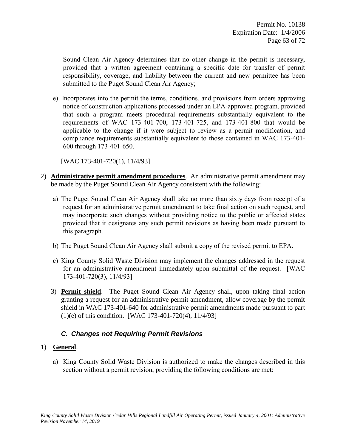Sound Clean Air Agency determines that no other change in the permit is necessary, provided that a written agreement containing a specific date for transfer of permit responsibility, coverage, and liability between the current and new permittee has been submitted to the Puget Sound Clean Air Agency;

e) Incorporates into the permit the terms, conditions, and provisions from orders approving notice of construction applications processed under an EPA-approved program, provided that such a program meets procedural requirements substantially equivalent to the requirements of WAC 173-401-700, 173-401-725, and 173-401-800 that would be applicable to the change if it were subject to review as a permit modification, and compliance requirements substantially equivalent to those contained in WAC 173-401- 600 through 173-401-650.

[WAC 173-401-720(1), 11/4/93]

- 2) **Administrative permit amendment procedures**. An administrative permit amendment may be made by the Puget Sound Clean Air Agency consistent with the following:
	- a) The Puget Sound Clean Air Agency shall take no more than sixty days from receipt of a request for an administrative permit amendment to take final action on such request, and may incorporate such changes without providing notice to the public or affected states provided that it designates any such permit revisions as having been made pursuant to this paragraph.
	- b) The Puget Sound Clean Air Agency shall submit a copy of the revised permit to EPA.
	- c) King County Solid Waste Division may implement the changes addressed in the request for an administrative amendment immediately upon submittal of the request. [WAC 173-401-720(3), 11/4/93]
	- 3) **Permit shield**. The Puget Sound Clean Air Agency shall, upon taking final action granting a request for an administrative permit amendment, allow coverage by the permit shield in WAC 173-401-640 for administrative permit amendments made pursuant to part (1)(e) of this condition. [WAC 173-401-720(4), 11/4/93]

## *C. Changes not Requiring Permit Revisions*

#### 1) **General**.

a) King County Solid Waste Division is authorized to make the changes described in this section without a permit revision, providing the following conditions are met: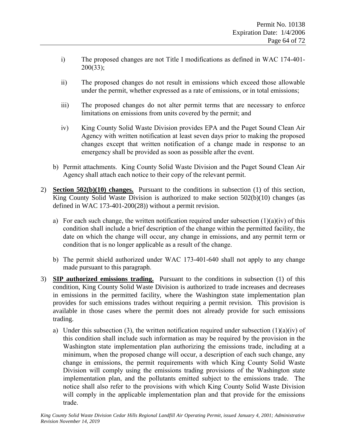- i) The proposed changes are not Title I modifications as defined in WAC 174-401- 200(33);
- ii) The proposed changes do not result in emissions which exceed those allowable under the permit, whether expressed as a rate of emissions, or in total emissions;
- iii) The proposed changes do not alter permit terms that are necessary to enforce limitations on emissions from units covered by the permit; and
- iv) King County Solid Waste Division provides EPA and the Puget Sound Clean Air Agency with written notification at least seven days prior to making the proposed changes except that written notification of a change made in response to an emergency shall be provided as soon as possible after the event.
- b) Permit attachments. King County Solid Waste Division and the Puget Sound Clean Air Agency shall attach each notice to their copy of the relevant permit.
- 2) **Section 502(b)(10) changes.** Pursuant to the conditions in subsection (1) of this section, King County Solid Waste Division is authorized to make section 502(b)(10) changes (as defined in WAC 173-401-200(28)) without a permit revision.
	- a) For each such change, the written notification required under subsection  $(1)(a)(iv)$  of this condition shall include a brief description of the change within the permitted facility, the date on which the change will occur, any change in emissions, and any permit term or condition that is no longer applicable as a result of the change.
	- b) The permit shield authorized under WAC 173-401-640 shall not apply to any change made pursuant to this paragraph.
- 3) **SIP authorized emissions trading.** Pursuant to the conditions in subsection (1) of this condition, King County Solid Waste Division is authorized to trade increases and decreases in emissions in the permitted facility, where the Washington state implementation plan provides for such emissions trades without requiring a permit revision. This provision is available in those cases where the permit does not already provide for such emissions trading.
	- a) Under this subsection (3), the written notification required under subsection  $(1)(a)(iv)$  of this condition shall include such information as may be required by the provision in the Washington state implementation plan authorizing the emissions trade, including at a minimum, when the proposed change will occur, a description of each such change, any change in emissions, the permit requirements with which King County Solid Waste Division will comply using the emissions trading provisions of the Washington state implementation plan, and the pollutants emitted subject to the emissions trade. The notice shall also refer to the provisions with which King County Solid Waste Division will comply in the applicable implementation plan and that provide for the emissions trade.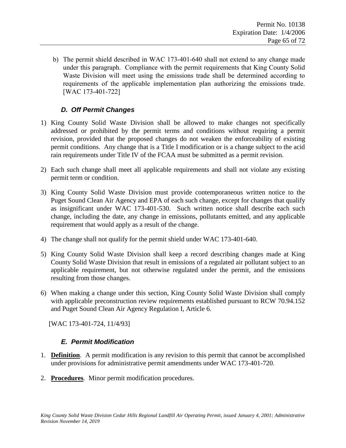b) The permit shield described in WAC 173-401-640 shall not extend to any change made under this paragraph. Compliance with the permit requirements that King County Solid Waste Division will meet using the emissions trade shall be determined according to requirements of the applicable implementation plan authorizing the emissions trade. [WAC 173-401-722]

## *D. Off Permit Changes*

- 1) King County Solid Waste Division shall be allowed to make changes not specifically addressed or prohibited by the permit terms and conditions without requiring a permit revision, provided that the proposed changes do not weaken the enforceability of existing permit conditions. Any change that is a Title I modification or is a change subject to the acid rain requirements under Title IV of the FCAA must be submitted as a permit revision.
- 2) Each such change shall meet all applicable requirements and shall not violate any existing permit term or condition.
- 3) King County Solid Waste Division must provide contemporaneous written notice to the Puget Sound Clean Air Agency and EPA of each such change, except for changes that qualify as insignificant under WAC 173-401-530. Such written notice shall describe each such change, including the date, any change in emissions, pollutants emitted, and any applicable requirement that would apply as a result of the change.
- 4) The change shall not qualify for the permit shield under WAC 173-401-640.
- 5) King County Solid Waste Division shall keep a record describing changes made at King County Solid Waste Division that result in emissions of a regulated air pollutant subject to an applicable requirement, but not otherwise regulated under the permit, and the emissions resulting from those changes.
- 6) When making a change under this section, King County Solid Waste Division shall comply with applicable preconstruction review requirements established pursuant to RCW 70.94.152 and Puget Sound Clean Air Agency Regulation I, Article 6.

[WAC 173-401-724, 11/4/93]

#### *E. Permit Modification*

- 1. **Definition**. A permit modification is any revision to this permit that cannot be accomplished under provisions for administrative permit amendments under WAC 173-401-720.
- 2. **Procedures**. Minor permit modification procedures.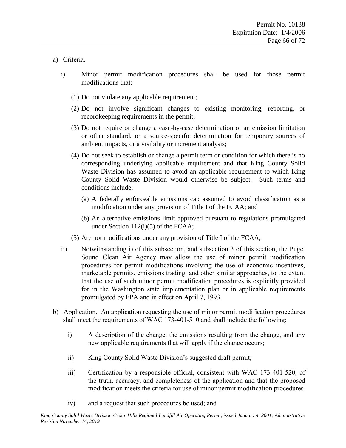#### <span id="page-65-0"></span>a) Criteria.

- i) Minor permit modification procedures shall be used for those permit modifications that:
	- (1) Do not violate any applicable requirement;
	- (2) Do not involve significant changes to existing monitoring, reporting, or recordkeeping requirements in the permit;
	- (3) Do not require or change a case-by-case determination of an emission limitation or other standard, or a source-specific determination for temporary sources of ambient impacts, or a visibility or increment analysis;
	- (4) Do not seek to establish or change a permit term or condition for which there is no corresponding underlying applicable requirement and that King County Solid Waste Division has assumed to avoid an applicable requirement to which King County Solid Waste Division would otherwise be subject. Such terms and conditions include:
		- (a) A federally enforceable emissions cap assumed to avoid classification as a modification under any provision of Title I of the FCAA; and
		- (b) An alternative emissions limit approved pursuant to regulations promulgated under Section 112(i)(5) of the FCAA;
	- (5) Are not modifications under any provision of Title I of the FCAA;
- ii) Notwithstanding [i\)](#page-65-0) of this subsection, and subsection [3](#page-66-0) of this section, the Puget Sound Clean Air Agency may allow the use of minor permit modification procedures for permit modifications involving the use of economic incentives, marketable permits, emissions trading, and other similar approaches, to the extent that the use of such minor permit modification procedures is explicitly provided for in the Washington state implementation plan or in applicable requirements promulgated by EPA and in effect on April 7, 1993.
- b) Application. An application requesting the use of minor permit modification procedures shall meet the requirements of WAC 173-401-510 and shall include the following:
	- i) A description of the change, the emissions resulting from the change, and any new applicable requirements that will apply if the change occurs;
	- ii) King County Solid Waste Division's suggested draft permit;
	- iii) Certification by a responsible official, consistent with WAC 173-401-520, of the truth, accuracy, and completeness of the application and that the proposed modification meets the criteria for use of minor permit modification procedures
	- iv) and a request that such procedures be used; and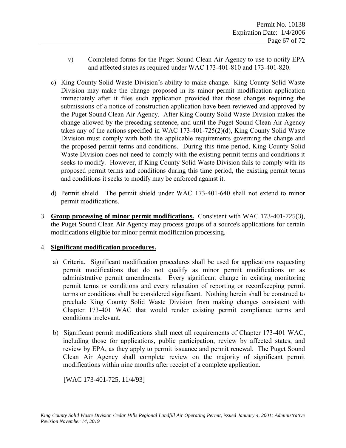- v) Completed forms for the Puget Sound Clean Air Agency to use to notify EPA and affected states as required under WAC 173-401-810 and 173-401-820.
- c) King County Solid Waste Division's ability to make change. King County Solid Waste Division may make the change proposed in its minor permit modification application immediately after it files such application provided that those changes requiring the submissions of a notice of construction application have been reviewed and approved by the Puget Sound Clean Air Agency. After King County Solid Waste Division makes the change allowed by the preceding sentence, and until the Puget Sound Clean Air Agency takes any of the actions specified in WAC 173-401-725(2)(d), King County Solid Waste Division must comply with both the applicable requirements governing the change and the proposed permit terms and conditions. During this time period, King County Solid Waste Division does not need to comply with the existing permit terms and conditions it seeks to modify. However, if King County Solid Waste Division fails to comply with its proposed permit terms and conditions during this time period, the existing permit terms and conditions it seeks to modify may be enforced against it.
- d) Permit shield. The permit shield under WAC 173-401-640 shall not extend to minor permit modifications.
- <span id="page-66-0"></span>3. **Group processing of minor permit modifications.** Consistent with WAC 173-401-725(3), the Puget Sound Clean Air Agency may process groups of a source's applications for certain modifications eligible for minor permit modification processing.

#### 4. **Significant modification procedures.**

- a) Criteria. Significant modification procedures shall be used for applications requesting permit modifications that do not qualify as minor permit modifications or as administrative permit amendments. Every significant change in existing monitoring permit terms or conditions and every relaxation of reporting or recordkeeping permit terms or conditions shall be considered significant. Nothing herein shall be construed to preclude King County Solid Waste Division from making changes consistent with Chapter 173-401 WAC that would render existing permit compliance terms and conditions irrelevant.
- b) Significant permit modifications shall meet all requirements of Chapter 173-401 WAC, including those for applications, public participation, review by affected states, and review by EPA, as they apply to permit issuance and permit renewal. The Puget Sound Clean Air Agency shall complete review on the majority of significant permit modifications within nine months after receipt of a complete application.

[WAC 173-401-725, 11/4/93]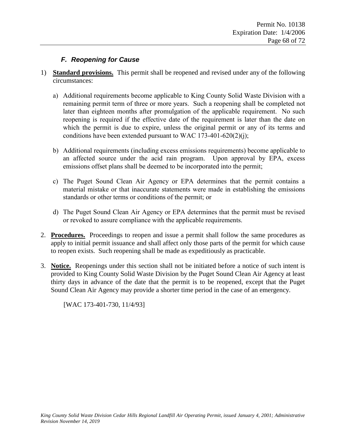### *F. Reopening for Cause*

- 1) **Standard provisions.** This permit shall be reopened and revised under any of the following circumstances:
	- a) Additional requirements become applicable to King County Solid Waste Division with a remaining permit term of three or more years. Such a reopening shall be completed not later than eighteen months after promulgation of the applicable requirement. No such reopening is required if the effective date of the requirement is later than the date on which the permit is due to expire, unless the original permit or any of its terms and conditions have been extended pursuant to WAC 173-401-620(2)(j);
	- b) Additional requirements (including excess emissions requirements) become applicable to an affected source under the acid rain program. Upon approval by EPA, excess emissions offset plans shall be deemed to be incorporated into the permit;
	- c) The Puget Sound Clean Air Agency or EPA determines that the permit contains a material mistake or that inaccurate statements were made in establishing the emissions standards or other terms or conditions of the permit; or
	- d) The Puget Sound Clean Air Agency or EPA determines that the permit must be revised or revoked to assure compliance with the applicable requirements.
- 2. **Procedures.** Proceedings to reopen and issue a permit shall follow the same procedures as apply to initial permit issuance and shall affect only those parts of the permit for which cause to reopen exists. Such reopening shall be made as expeditiously as practicable.
- 3. **Notice.** Reopenings under this section shall not be initiated before a notice of such intent is provided to King County Solid Waste Division by the Puget Sound Clean Air Agency at least thirty days in advance of the date that the permit is to be reopened, except that the Puget Sound Clean Air Agency may provide a shorter time period in the case of an emergency.

[WAC 173-401-730, 11/4/93]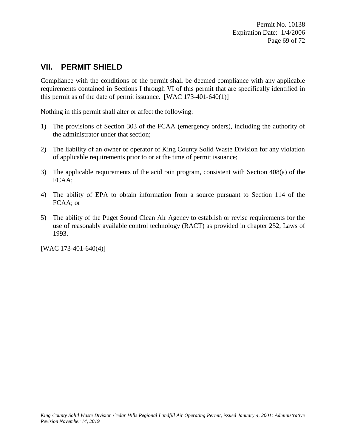## **VII. PERMIT SHIELD**

Compliance with the conditions of the permit shall be deemed compliance with any applicable requirements contained in Sections I through VI of this permit that are specifically identified in this permit as of the date of permit issuance.  $[WAC 173-401-640(1)]$ 

Nothing in this permit shall alter or affect the following:

- 1) The provisions of Section 303 of the FCAA (emergency orders), including the authority of the administrator under that section;
- 2) The liability of an owner or operator of King County Solid Waste Division for any violation of applicable requirements prior to or at the time of permit issuance;
- 3) The applicable requirements of the acid rain program, consistent with Section 408(a) of the FCAA;
- 4) The ability of EPA to obtain information from a source pursuant to Section 114 of the FCAA; or
- 5) The ability of the Puget Sound Clean Air Agency to establish or revise requirements for the use of reasonably available control technology (RACT) as provided in chapter 252, Laws of 1993.

[WAC 173-401-640(4)]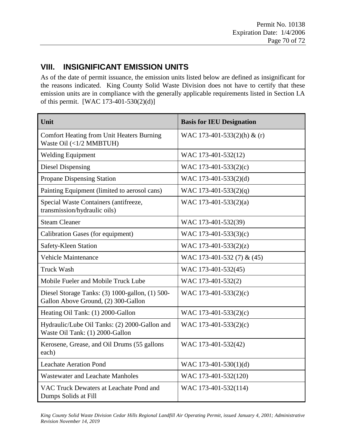# **VIII. INSIGNIFICANT EMISSION UNITS**

As of the date of permit issuance, the emission units listed below are defined as insignificant for the reasons indicated. King County Solid Waste Division does not have to certify that these emission units are in compliance with the generally applicable requirements listed in Section I.A of this permit. [WAC 173-401-530(2)(d)]

| Unit                                                                                   | <b>Basis for IEU Designation</b> |
|----------------------------------------------------------------------------------------|----------------------------------|
| <b>Comfort Heating from Unit Heaters Burning</b><br>Waste Oil (<1/2 MMBTUH)            | WAC 173-401-533(2)(h) & (r)      |
| <b>Welding Equipment</b>                                                               | WAC 173-401-532(12)              |
| <b>Diesel Dispensing</b>                                                               | WAC 173-401-533(2)(c)            |
| Propane Dispensing Station                                                             | WAC 173-401-533(2)(d)            |
| Painting Equipment (limited to aerosol cans)                                           | WAC 173-401-533(2)(q)            |
| Special Waste Containers (antifreeze,<br>transmission/hydraulic oils)                  | WAC 173-401-533(2)(a)            |
| <b>Steam Cleaner</b>                                                                   | WAC 173-401-532(39)              |
| Calibration Gases (for equipment)                                                      | WAC 173-401-533(3)(c)            |
| Safety-Kleen Station                                                                   | WAC 173-401-533(2)(z)            |
| <b>Vehicle Maintenance</b>                                                             | WAC 173-401-532 (7) & (45)       |
| <b>Truck Wash</b>                                                                      | WAC 173-401-532(45)              |
| Mobile Fueler and Mobile Truck Lube                                                    | WAC 173-401-532(2)               |
| Diesel Storage Tanks: (3) 1000-gallon, (1) 500-<br>Gallon Above Ground, (2) 300-Gallon | WAC 173-401-533(2)(c)            |
| Heating Oil Tank: (1) 2000-Gallon                                                      | WAC 173-401-533(2)(c)            |
| Hydraulic/Lube Oil Tanks: (2) 2000-Gallon and<br>Waste Oil Tank: (1) 2000-Gallon       | WAC 173-401-533(2)(c)            |
| Kerosene, Grease, and Oil Drums (55 gallons<br>each)                                   | WAC 173-401-532(42)              |
| <b>Leachate Aeration Pond</b>                                                          | WAC 173-401-530(1)(d)            |
| <b>Wastewater and Leachate Manholes</b>                                                | WAC 173-401-532(120)             |
| VAC Truck Dewaters at Leachate Pond and<br>Dumps Solids at Fill                        | WAC 173-401-532(114)             |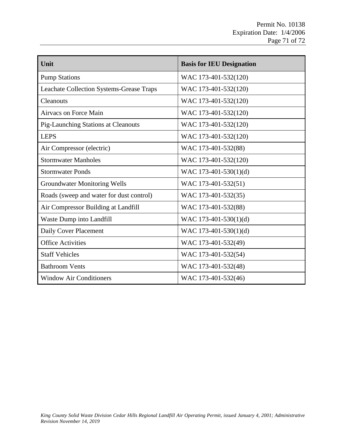| Unit                                            | <b>Basis for IEU Designation</b> |
|-------------------------------------------------|----------------------------------|
| <b>Pump Stations</b>                            | WAC 173-401-532(120)             |
| <b>Leachate Collection Systems-Grease Traps</b> | WAC 173-401-532(120)             |
| Cleanouts                                       | WAC 173-401-532(120)             |
| Airvacs on Force Main                           | WAC 173-401-532(120)             |
| <b>Pig-Launching Stations at Cleanouts</b>      | WAC 173-401-532(120)             |
| <b>LEPS</b>                                     | WAC 173-401-532(120)             |
| Air Compressor (electric)                       | WAC 173-401-532(88)              |
| <b>Stormwater Manholes</b>                      | WAC 173-401-532(120)             |
| <b>Stormwater Ponds</b>                         | WAC 173-401-530(1)(d)            |
| <b>Groundwater Monitoring Wells</b>             | WAC 173-401-532(51)              |
| Roads (sweep and water for dust control)        | WAC 173-401-532(35)              |
| Air Compressor Building at Landfill             | WAC 173-401-532(88)              |
| Waste Dump into Landfill                        | WAC 173-401-530(1)(d)            |
| Daily Cover Placement                           | WAC 173-401-530(1)(d)            |
| <b>Office Activities</b>                        | WAC 173-401-532(49)              |
| <b>Staff Vehicles</b>                           | WAC 173-401-532(54)              |
| <b>Bathroom Vents</b>                           | WAC 173-401-532(48)              |
| <b>Window Air Conditioners</b>                  | WAC 173-401-532(46)              |